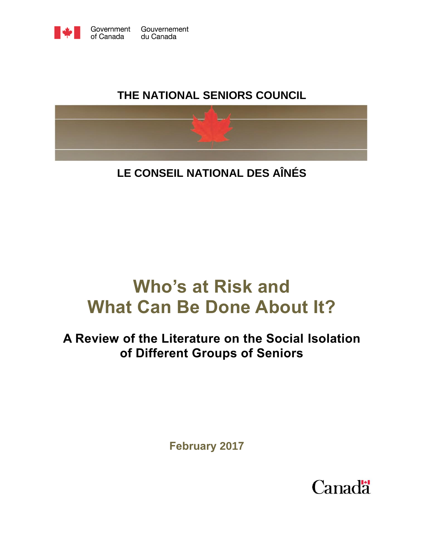

# **THE NATIONAL SENIORS COUNCIL**



**LE CONSEIL NATIONAL DES AÎNÉS**

# **Who's at Risk and What Can Be Done About It?**

# **A Review of the Literature on the Social Isolation of Different Groups of Seniors**

**February 2017**

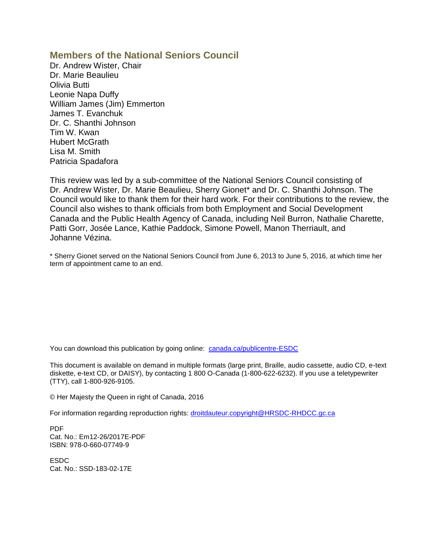#### **Members of the National Seniors Council**

Dr. Andrew Wister, Chair Dr. Marie Beaulieu Olivia Butti Leonie Napa Duffy William James (Jim) Emmerton James T. Evanchuk Dr. C. Shanthi Johnson Tim W. Kwan Hubert McGrath Lisa M. Smith Patricia Spadafora

This review was led by a sub-committee of the National Seniors Council consisting of Dr. Andrew Wister, Dr. Marie Beaulieu, Sherry Gionet\* and Dr. C. Shanthi Johnson. The Council would like to thank them for their hard work. For their contributions to the review, the Council also wishes to thank officials from both Employment and Social Development Canada and the Public Health Agency of Canada, including Neil Burron, Nathalie Charette, Patti Gorr, Josée Lance, Kathie Paddock, Simone Powell, Manon Therriault, and Johanne Vézina.

\* Sherry Gionet served on the National Seniors Council from June 6, 2013 to June 5, 2016, at which time her term of appointment came to an end.

You can download this publication by going online: [canada.ca/publicentre-ESDC](http://canada.ca/publicentre-ESDC)

This document is available on demand in multiple formats (large print, Braille, audio cassette, audio CD, e-text diskette, e-text CD, or DAISY), by contacting 1 800 O-Canada (1-800-622-6232). If you use a teletypewriter (TTY), call 1-800-926-9105.

© Her Majesty the Queen in right of Canada, 2016

For information regarding reproduction rights: [droitdauteur.copyright@HRSDC-RHDCC.gc.ca](mailto:droitdauteur.copyright@HRSDC-RHDCC.gc.ca)

PDF Cat. No.: Em12-26/2017E-PDF ISBN: 978-0-660-07749-9

ESDC Cat. No.: SSD-183-02-17E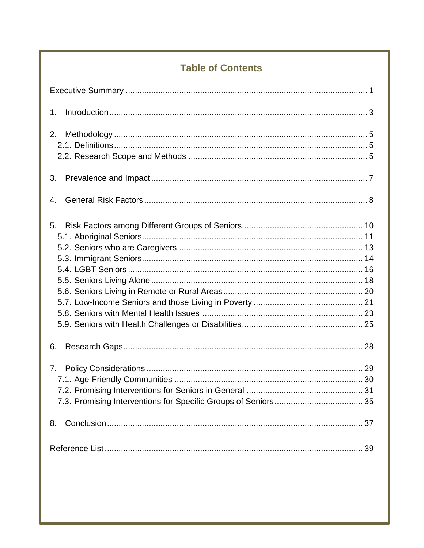# **Table of Contents**

| 1.       |
|----------|
| 2.       |
| 3.       |
| 4.       |
| 5.       |
| 6.       |
| 7.<br>8. |
|          |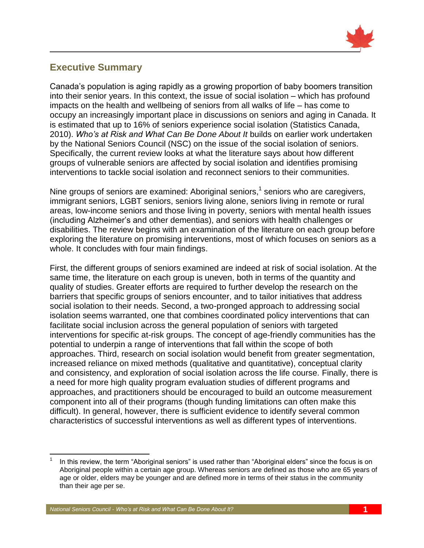

## <span id="page-4-0"></span>**Executive Summary**

Canada's population is aging rapidly as a growing proportion of baby boomers transition into their senior years. In this context, the issue of social isolation – which has profound impacts on the health and wellbeing of seniors from all walks of life – has come to occupy an increasingly important place in discussions on seniors and aging in Canada. It is estimated that up to 16% of seniors experience social isolation (Statistics Canada, 2010). *Who's at Risk and What Can Be Done About It* builds on earlier work undertaken by the National Seniors Council (NSC) on the issue of the social isolation of seniors. Specifically, the current review looks at what the literature says about how different groups of vulnerable seniors are affected by social isolation and identifies promising interventions to tackle social isolation and reconnect seniors to their communities.

Nine groups of seniors are examined: Aboriginal seniors,<sup>1</sup> seniors who are caregivers, immigrant seniors, LGBT seniors, seniors living alone, seniors living in remote or rural areas, low-income seniors and those living in poverty, seniors with mental health issues (including Alzheimer's and other dementias), and seniors with health challenges or disabilities. The review begins with an examination of the literature on each group before exploring the literature on promising interventions, most of which focuses on seniors as a whole. It concludes with four main findings.

First, the different groups of seniors examined are indeed at risk of social isolation. At the same time, the literature on each group is uneven, both in terms of the quantity and quality of studies. Greater efforts are required to further develop the research on the barriers that specific groups of seniors encounter, and to tailor initiatives that address social isolation to their needs. Second, a two-pronged approach to addressing social isolation seems warranted, one that combines coordinated policy interventions that can facilitate social inclusion across the general population of seniors with targeted interventions for specific at-risk groups. The concept of age-friendly communities has the potential to underpin a range of interventions that fall within the scope of both approaches. Third, research on social isolation would benefit from greater segmentation, increased reliance on mixed methods (qualitative and quantitative), conceptual clarity and consistency, and exploration of social isolation across the life course. Finally, there is a need for more high quality program evaluation studies of different programs and approaches, and practitioners should be encouraged to build an outcome measurement component into all of their programs (though funding limitations can often make this difficult). In general, however, there is sufficient evidence to identify several common characteristics of successful interventions as well as different types of interventions.

 $\overline{\phantom{a}}$ 1 In this review, the term "Aboriginal seniors" is used rather than "Aboriginal elders" since the focus is on Aboriginal people within a certain age group. Whereas seniors are defined as those who are 65 years of age or older, elders may be younger and are defined more in terms of their status in the community than their age per se.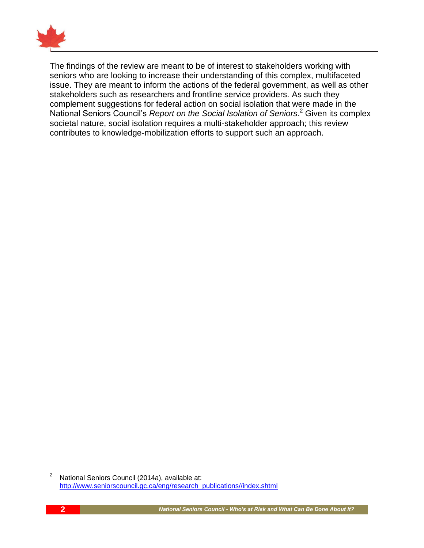

The findings of the review are meant to be of interest to stakeholders working with seniors who are looking to increase their understanding of this complex, multifaceted issue. They are meant to inform the actions of the federal government, as well as other stakeholders such as researchers and frontline service providers. As such they complement suggestions for federal action on social isolation that were made in the National Seniors Council's *Report on the Social Isolation of Seniors*. <sup>2</sup> Given its complex societal nature, social isolation requires a multi-stakeholder approach; this review contributes to knowledge-mobilization efforts to support such an approach.

 $\sqrt{2}$ <sup>2</sup> National Seniors Council (2014a), available at: [http://www.seniorscouncil.gc.ca/eng/research\\_publications//index.shtml](http://www.seniorscouncil.gc.ca/eng/research_publications/index.shtml)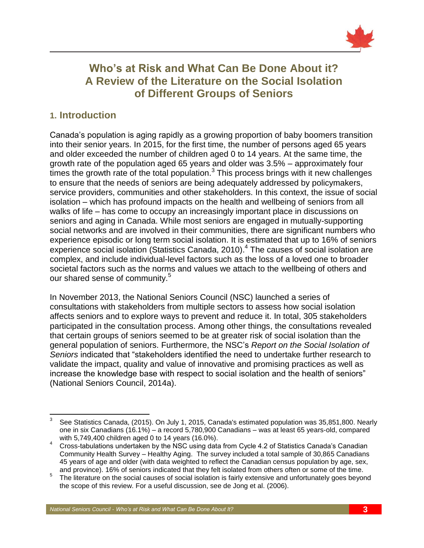

# **Who's at Risk and What Can Be Done About it? A Review of the Literature on the Social Isolation of Different Groups of Seniors**

### <span id="page-6-0"></span>**1. Introduction**

Canada's population is aging rapidly as a growing proportion of baby boomers transition into their senior years. In 2015, for the first time, the number of persons aged 65 years and older exceeded the number of children aged 0 to 14 years. At the same time, the growth rate of the population aged 65 years and older was 3.5% – approximately four  $t$  times the growth rate of the total population. $3$  This process brings with it new challenges to ensure that the needs of seniors are being adequately addressed by policymakers, service providers, communities and other stakeholders. In this context, the issue of social isolation – which has profound impacts on the health and wellbeing of seniors from all walks of life – has come to occupy an increasingly important place in discussions on seniors and aging in Canada. While most seniors are engaged in mutually-supporting social networks and are involved in their communities, there are significant numbers who experience episodic or long term social isolation. It is estimated that up to 16% of seniors experience social isolation (Statistics Canada, 2010).<sup>4</sup> The causes of social isolation are complex, and include individual-level factors such as the loss of a loved one to broader societal factors such as the norms and values we attach to the wellbeing of others and our shared sense of community.<sup>5</sup>

In November 2013, the National Seniors Council (NSC) launched a series of consultations with stakeholders from multiple sectors to assess how social isolation affects seniors and to explore ways to prevent and reduce it. In total, 305 stakeholders participated in the consultation process. Among other things, the consultations revealed that certain groups of seniors seemed to be at greater risk of social isolation than the general population of seniors. Furthermore, the NSC's *Report on the Social Isolation of Seniors* indicated that "stakeholders identified the need to undertake further research to validate the impact, quality and value of innovative and promising practices as well as increase the knowledge base with respect to social isolation and the health of seniors" (National Seniors Council, 2014a).

 $\overline{\phantom{a}}$ 3 See Statistics Canada, (2015). On July 1, 2015, Canada's estimated population was 35,851,800. Nearly one in six Canadians (16.1%) – a record 5,780,900 Canadians – was at least 65 years-old, compared with 5,749,400 children aged 0 to 14 years (16.0%).

<sup>4</sup> Cross-tabulations undertaken by the NSC using data from Cycle 4.2 of Statistics Canada's Canadian Community Health Survey – Healthy Aging. The survey included a total sample of 30,865 Canadians 45 years of age and older (with data weighted to reflect the Canadian census population by age, sex, and province). 16% of seniors indicated that they felt isolated from others often or some of the time.

 $5$  The literature on the social causes of social isolation is fairly extensive and unfortunately goes beyond the scope of this review. For a useful discussion, see de Jong et al. (2006).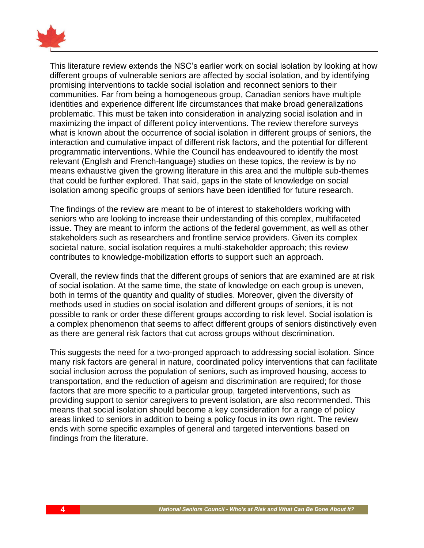

This literature review extends the NSC's earlier work on social isolation by looking at how different groups of vulnerable seniors are affected by social isolation, and by identifying promising interventions to tackle social isolation and reconnect seniors to their communities. Far from being a homogeneous group, Canadian seniors have multiple identities and experience different life circumstances that make broad generalizations problematic. This must be taken into consideration in analyzing social isolation and in maximizing the impact of different policy interventions. The review therefore surveys what is known about the occurrence of social isolation in different groups of seniors, the interaction and cumulative impact of different risk factors, and the potential for different programmatic interventions. While the Council has endeavoured to identify the most relevant (English and French-language) studies on these topics, the review is by no means exhaustive given the growing literature in this area and the multiple sub-themes that could be further explored. That said, gaps in the state of knowledge on social isolation among specific groups of seniors have been identified for future research.

The findings of the review are meant to be of interest to stakeholders working with seniors who are looking to increase their understanding of this complex, multifaceted issue. They are meant to inform the actions of the federal government, as well as other stakeholders such as researchers and frontline service providers. Given its complex societal nature, social isolation requires a multi-stakeholder approach; this review contributes to knowledge-mobilization efforts to support such an approach.

Overall, the review finds that the different groups of seniors that are examined are at risk of social isolation. At the same time, the state of knowledge on each group is uneven, both in terms of the quantity and quality of studies. Moreover, given the diversity of methods used in studies on social isolation and different groups of seniors, it is not possible to rank or order these different groups according to risk level. Social isolation is a complex phenomenon that seems to affect different groups of seniors distinctively even as there are general risk factors that cut across groups without discrimination.

This suggests the need for a two-pronged approach to addressing social isolation. Since many risk factors are general in nature, coordinated policy interventions that can facilitate social inclusion across the population of seniors, such as improved housing, access to transportation, and the reduction of ageism and discrimination are required; for those factors that are more specific to a particular group, targeted interventions, such as providing support to senior caregivers to prevent isolation, are also recommended. This means that social isolation should become a key consideration for a range of policy areas linked to seniors in addition to being a policy focus in its own right. The review ends with some specific examples of general and targeted interventions based on findings from the literature.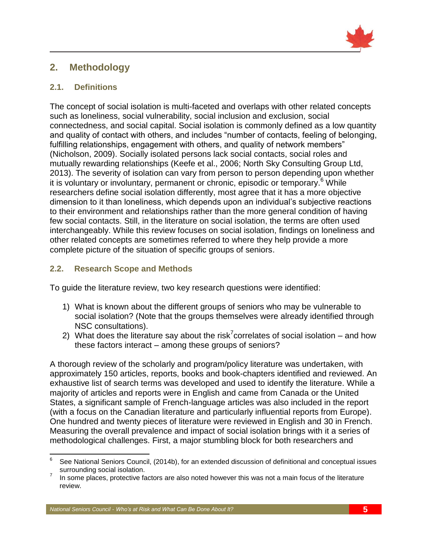

# <span id="page-8-0"></span>**2. Methodology**

#### <span id="page-8-1"></span>**2.1. Definitions**

The concept of social isolation is multi-faceted and overlaps with other related concepts such as loneliness, social vulnerability, social inclusion and exclusion, social connectedness, and social capital. Social isolation is commonly defined as a low quantity and quality of contact with others, and includes "number of contacts, feeling of belonging, fulfilling relationships, engagement with others, and quality of network members" (Nicholson, 2009). Socially isolated persons lack social contacts, social roles and mutually rewarding relationships (Keefe et al., 2006; North Sky Consulting Group Ltd, 2013). The severity of isolation can vary from person to person depending upon whether it is voluntary or involuntary, permanent or chronic, episodic or temporary. <sup>6</sup> While researchers define social isolation differently, most agree that it has a more objective dimension to it than loneliness, which depends upon an individual's subjective reactions to their environment and relationships rather than the more general condition of having few social contacts. Still, in the literature on social isolation, the terms are often used interchangeably. While this review focuses on social isolation, findings on loneliness and other related concepts are sometimes referred to where they help provide a more complete picture of the situation of specific groups of seniors.

#### <span id="page-8-2"></span>**2.2. Research Scope and Methods**

To guide the literature review, two key research questions were identified:

- 1) What is known about the different groups of seniors who may be vulnerable to social isolation? (Note that the groups themselves were already identified through NSC consultations).
- 2) What does the literature say about the risk<sup>7</sup> correlates of social isolation and how these factors interact – among these groups of seniors?

A thorough review of the scholarly and program/policy literature was undertaken, with approximately 150 articles, reports, books and book-chapters identified and reviewed. An exhaustive list of search terms was developed and used to identify the literature. While a majority of articles and reports were in English and came from Canada or the United States, a significant sample of French-language articles was also included in the report (with a focus on the Canadian literature and particularly influential reports from Europe). One hundred and twenty pieces of literature were reviewed in English and 30 in French. Measuring the overall prevalence and impact of social isolation brings with it a series of methodological challenges. First, a major stumbling block for both researchers and

<sup>—&</sup>lt;br>6 See National Seniors Council, (2014b), for an extended discussion of definitional and conceptual issues surrounding social isolation.

<sup>7</sup> In some places, protective factors are also noted however this was not a main focus of the literature review.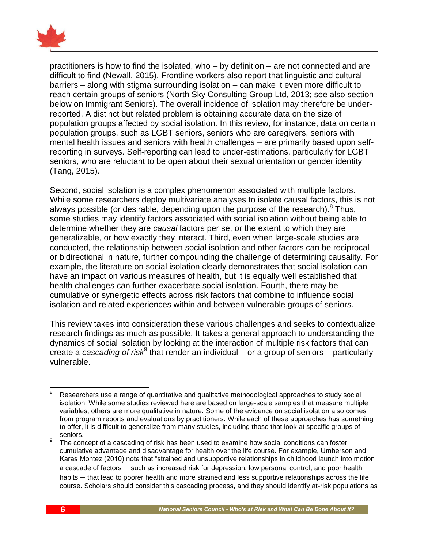

practitioners is how to find the isolated, who – by definition – are not connected and are difficult to find (Newall, 2015). Frontline workers also report that linguistic and cultural barriers – along with stigma surrounding isolation – can make it even more difficult to reach certain groups of seniors (North Sky Consulting Group Ltd, 2013; see also section below on Immigrant Seniors). The overall incidence of isolation may therefore be underreported. A distinct but related problem is obtaining accurate data on the size of population groups affected by social isolation. In this review, for instance, data on certain population groups, such as LGBT seniors, seniors who are caregivers, seniors with mental health issues and seniors with health challenges – are primarily based upon selfreporting in surveys. Self-reporting can lead to under-estimations, particularly for LGBT seniors, who are reluctant to be open about their sexual orientation or gender identity (Tang, 2015).

Second, social isolation is a complex phenomenon associated with multiple factors. While some researchers deploy multivariate analyses to isolate causal factors, this is not always possible (or desirable, depending upon the purpose of the research).<sup>8</sup> Thus, some studies may identify factors associated with social isolation without being able to determine whether they are *causal* factors per se, or the extent to which they are generalizable, or how exactly they interact. Third, even when large-scale studies are conducted, the relationship between social isolation and other factors can be reciprocal or bidirectional in nature, further compounding the challenge of determining causality. For example, the literature on social isolation clearly demonstrates that social isolation can have an impact on various measures of health, but it is equally well established that health challenges can further exacerbate social isolation. Fourth, there may be cumulative or synergetic effects across risk factors that combine to influence social isolation and related experiences within and between vulnerable groups of seniors.

This review takes into consideration these various challenges and seeks to contextualize research findings as much as possible. It takes a general approach to understanding the dynamics of social isolation by looking at the interaction of multiple risk factors that can create a *cascading of risk*<sup>9</sup> that render an individual – or a group of seniors – particularly vulnerable.

 $\overline{a}$ Researchers use a range of quantitative and qualitative methodological approaches to study social isolation. While some studies reviewed here are based on large-scale samples that measure multiple variables, others are more qualitative in nature. Some of the evidence on social isolation also comes from program reports and evaluations by practitioners. While each of these approaches has something to offer, it is difficult to generalize from many studies, including those that look at specific groups of seniors.

<sup>9</sup> The concept of a cascading of risk has been used to examine how social conditions can foster cumulative advantage and disadvantage for health over the life course. For example, Umberson and Karas Montez (2010) note that "strained and unsupportive relationships in childhood launch into motion a cascade of factors – such as increased risk for depression, low personal control, and poor health habits – that lead to poorer health and more strained and less supportive relationships across the life course. Scholars should consider this cascading process, and they should identify at-risk populations as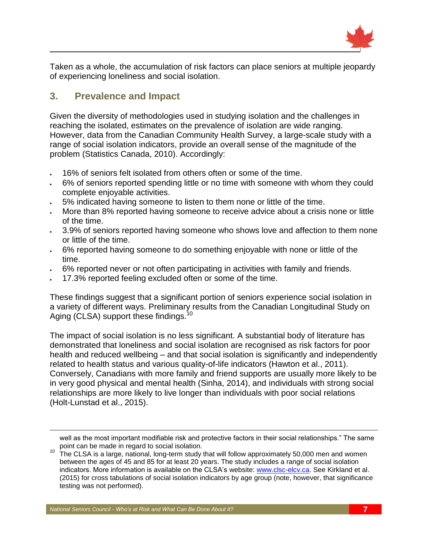

Taken as a whole, the accumulation of risk factors can place seniors at multiple jeopardy of experiencing loneliness and social isolation.

# <span id="page-10-0"></span>**3. Prevalence and Impact**

Given the diversity of methodologies used in studying isolation and the challenges in reaching the isolated, estimates on the prevalence of isolation are wide ranging. However, data from the Canadian Community Health Survey, a large-scale study with a range of social isolation indicators, provide an overall sense of the magnitude of the problem (Statistics Canada, 2010). Accordingly:

- 16% of seniors felt isolated from others often or some of the time.
- 6% of seniors reported spending little or no time with someone with whom they could complete enjoyable activities.
- 5% indicated having someone to listen to them none or little of the time.
- More than 8% reported having someone to receive advice about a crisis none or little of the time.
- 3.9% of seniors reported having someone who shows love and affection to them none or little of the time.
- 6% reported having someone to do something enjoyable with none or little of the time.
- 6% reported never or not often participating in activities with family and friends.
- 17.3% reported feeling excluded often or some of the time.

These findings suggest that a significant portion of seniors experience social isolation in a variety of different ways. Preliminary results from the Canadian Longitudinal Study on Aging (CLSA) support these findings.<sup>10</sup>

The impact of social isolation is no less significant. A substantial body of literature has demonstrated that loneliness and social isolation are recognised as risk factors for poor health and reduced wellbeing – and that social isolation is significantly and independently related to health status and various quality-of-life indicators (Hawton et al., 2011). Conversely, Canadians with more family and friend supports are usually more likely to be in very good physical and mental health (Sinha, 2014), and individuals with strong social relationships are more likely to live longer than individuals with poor social relations (Holt-Lunstad et al., 2015).

 $\overline{\phantom{a}}$ 

well as the most important modifiable risk and protective factors in their social relationships." The same point can be made in regard to social isolation.

 $10$  The CLSA is a large, national, long-term study that will follow approximately 50,000 men and women between the ages of 45 and 85 for at least 20 years. The study includes a range of social isolation indicators. More information is available on the CLSA's website: [www.clsc-elcv.ca.](http://www.clsc-elcv.ca/) See Kirkland et al. (2015) for cross tabulations of social isolation indicators by age group (note, however, that significance testing was not performed).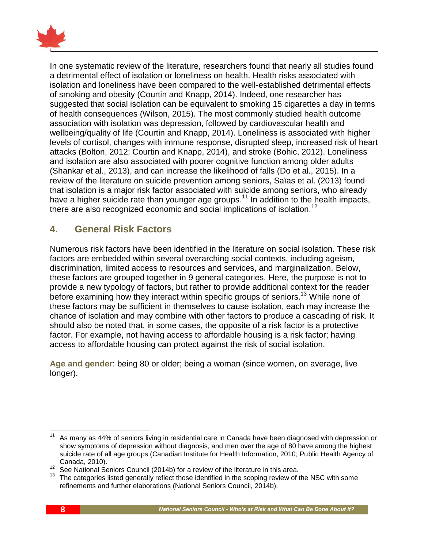

In one systematic review of the literature, researchers found that nearly all studies found a detrimental effect of isolation or loneliness on health. Health risks associated with isolation and loneliness have been compared to the well-established detrimental effects of smoking and obesity (Courtin and Knapp, 2014). Indeed, one researcher has suggested that social isolation can be equivalent to smoking 15 cigarettes a day in terms of health consequences (Wilson, 2015). The most commonly studied health outcome association with isolation was depression, followed by cardiovascular health and wellbeing/quality of life (Courtin and Knapp, 2014). Loneliness is associated with higher levels of cortisol, changes with immune response, disrupted sleep, increased risk of heart attacks (Bolton, 2012; Courtin and Knapp, 2014), and stroke (Bohic, 2012). Loneliness and isolation are also associated with poorer cognitive function among older adults (Shankar et al., 2013), and can increase the likelihood of falls (Do et al., 2015). In a review of the literature on suicide prevention among seniors, Saïas et al. (2013) found that isolation is a major risk factor associated with suicide among seniors, who already have a higher suicide rate than younger age groups.<sup>11</sup> In addition to the health impacts, there are also recognized economic and social implications of isolation.<sup>12</sup>

## <span id="page-11-0"></span>**4. General Risk Factors**

Numerous risk factors have been identified in the literature on social isolation. These risk factors are embedded within several overarching social contexts, including ageism, discrimination, limited access to resources and services, and marginalization. Below, these factors are grouped together in 9 general categories. Here, the purpose is not to provide a new typology of factors, but rather to provide additional context for the reader before examining how they interact within specific groups of seniors.<sup>13</sup> While none of these factors may be sufficient in themselves to cause isolation, each may increase the chance of isolation and may combine with other factors to produce a cascading of risk. It should also be noted that, in some cases, the opposite of a risk factor is a protective factor. For example, not having access to affordable housing is a risk factor; having access to affordable housing can protect against the risk of social isolation.

**Age and gender**: being 80 or older; being a woman (since women, on average, live longer).

 $\overline{\phantom{a}}$ 

As many as 44% of seniors living in residential care in Canada have been diagnosed with depression or show symptoms of depression without diagnosis, and men over the age of 80 have among the highest suicide rate of all age groups (Canadian Institute for Health Information, 2010; Public Health Agency of Canada, 2010).

<sup>&</sup>lt;sup>12</sup> See National Seniors Council (2014b) for a review of the literature in this area.

 $13$  The categories listed generally reflect those identified in the scoping review of the NSC with some refinements and further elaborations (National Seniors Council, 2014b).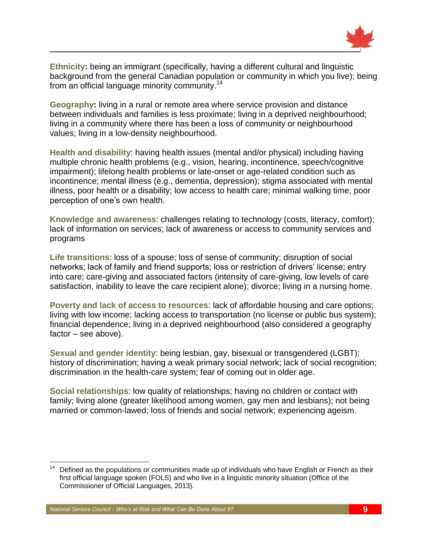

**Ethnicity:** being an immigrant (specifically, having a different cultural and linguistic background from the general Canadian population or community in which you live); being from an official language minority community.<sup>14</sup>

**Geography:** living in a rural or remote area where service provision and distance between individuals and families is less proximate; living in a deprived neighbourhood; living in a community where there has been a loss of community or neighbourhood values; living in a low-density neighbourhood.

**Health and disability**: having health issues (mental and/or physical) including having multiple chronic health problems (e.g., vision, hearing, incontinence, speech/cognitive impairment); lifelong health problems or late-onset or age-related condition such as incontinence; mental illness (e.g., dementia, depression); stigma associated with mental illness, poor health or a disability; low access to health care; minimal walking time; poor perception of one's own health.

**Knowledge and awareness**: challenges relating to technology (costs, literacy, comfort); lack of information on services; lack of awareness or access to community services and programs

**Life transitions**: loss of a spouse; loss of sense of community; disruption of social networks; lack of family and friend supports; loss or restriction of drivers' license; entry into care; care-giving and associated factors (intensity of care-giving, low levels of care satisfaction, inability to leave the care recipient alone); divorce; living in a nursing home.

**Poverty and lack of access to resources:** lack of affordable housing and care options; living with low income; lacking access to transportation (no license or public bus system); financial dependence; living in a deprived neighbourhood (also considered a geography factor – see above).

**Sexual and gender identity**: being lesbian, gay, bisexual or transgendered (LGBT); history of discrimination; having a weak primary social network; lack of social recognition; discrimination in the health-care system; fear of coming out in older age.

**Social relationships**: low quality of relationships; having no children or contact with family; living alone (greater likelihood among women, gay men and lesbians); not being married or common-lawed; loss of friends and social network; experiencing ageism.

 $\overline{\phantom{a}}$ Defined as the populations or communities made up of individuals who have English or French as their first official language spoken (FOLS) and who live in a linguistic minority situation (Office of the Commissioner of Official Languages, 2013).

*National Seniors Council - Who's at Risk and What Can Be Done About It?* **9**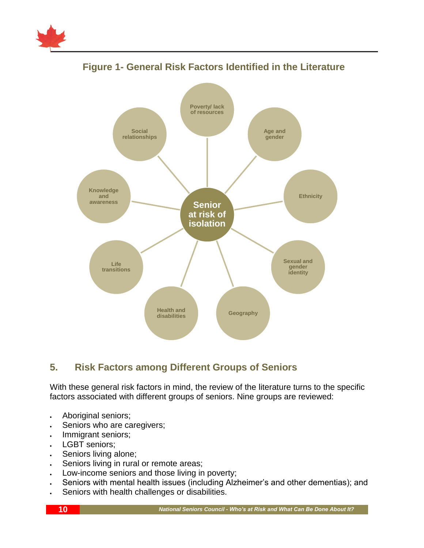



# **Figure 1- General Risk Factors Identified in the Literature**

## <span id="page-13-0"></span>**5. Risk Factors among Different Groups of Seniors**

With these general risk factors in mind, the review of the literature turns to the specific factors associated with different groups of seniors. Nine groups are reviewed:

- Aboriginal seniors;
- . Seniors who are caregivers;
- . Immigrant seniors;
- LGBT seniors;
- . Seniors living alone;
- . Seniors living in rural or remote areas;
- Low-income seniors and those living in poverty;
- Seniors with mental health issues (including Alzheimer's and other dementias); and
- Seniors with health challenges or disabilities.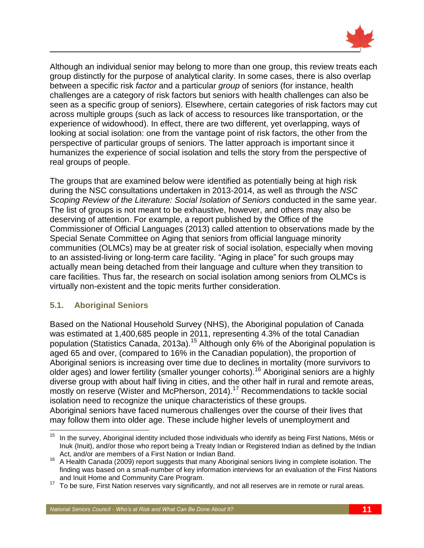

Although an individual senior may belong to more than one group, this review treats each group distinctly for the purpose of analytical clarity. In some cases, there is also overlap between a specific risk *factor* and a particular *group* of seniors (for instance, health challenges are a category of risk factors but seniors with health challenges can also be seen as a specific group of seniors). Elsewhere, certain categories of risk factors may cut across multiple groups (such as lack of access to resources like transportation, or the experience of widowhood). In effect, there are two different, yet overlapping, ways of looking at social isolation: one from the vantage point of risk factors, the other from the perspective of particular groups of seniors. The latter approach is important since it humanizes the experience of social isolation and tells the story from the perspective of real groups of people.

The groups that are examined below were identified as potentially being at high risk during the NSC consultations undertaken in 2013-2014, as well as through the *NSC Scoping Review of the Literature: Social Isolation of Seniors* conducted in the same year. The list of groups is not meant to be exhaustive, however, and others may also be deserving of attention. For example, a report published by the Office of the Commissioner of Official Languages (2013) called attention to observations made by the Special Senate Committee on Aging that seniors from official language minority communities (OLMCs) may be at greater risk of social isolation, especially when moving to an assisted-living or long-term care facility. "Aging in place" for such groups may actually mean being detached from their language and culture when they transition to care facilities. Thus far, the research on social isolation among seniors from OLMCs is virtually non-existent and the topic merits further consideration.

#### <span id="page-14-0"></span>**5.1. Aboriginal Seniors**

Based on the National Household Survey (NHS), the Aboriginal population of Canada was estimated at 1,400,685 people in 2011, representing 4.3% of the total Canadian population (Statistics Canada, 2013a).<sup>15</sup> Although only 6% of the Aboriginal population is aged 65 and over, (compared to 16% in the Canadian population), the proportion of Aboriginal seniors is increasing over time due to declines in mortality (more survivors to older ages) and lower fertility (smaller younger cohorts).<sup>16</sup> Aboriginal seniors are a highly diverse group with about half living in cities, and the other half in rural and remote areas, mostly on reserve (Wister and McPherson, 2014).<sup>17</sup> Recommendations to tackle social isolation need to recognize the unique characteristics of these groups. Aboriginal seniors have faced numerous challenges over the course of their lives that may follow them into older age. These include higher levels of unemployment and

 $15$ In the survey, Aboriginal identity included those individuals who identify as being First Nations, Métis or Inuk (Inuit), and/or those who report being a Treaty Indian or Registered Indian as defined by the Indian Act, and/or are members of a First Nation or Indian Band.

<sup>16</sup> A Health Canada (2009) report suggests that many Aboriginal seniors living in complete isolation. The finding was based on a small-number of key information interviews for an evaluation of the First Nations and Inuit Home and Community Care Program.

<sup>&</sup>lt;sup>17</sup> To be sure, First Nation reserves vary significantly, and not all reserves are in remote or rural areas.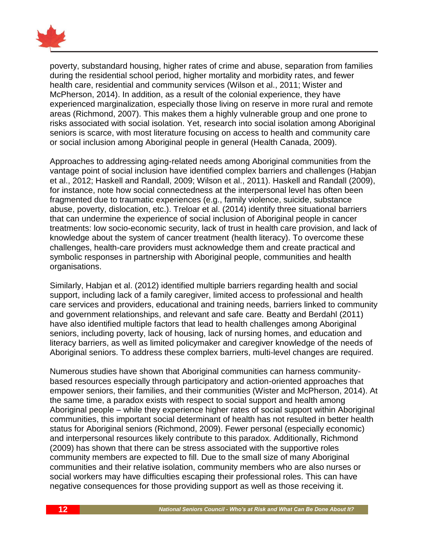

poverty, substandard housing, higher rates of crime and abuse, separation from families during the residential school period, higher mortality and morbidity rates, and fewer health care, residential and community services (Wilson et al., 2011; Wister and McPherson, 2014). In addition, as a result of the colonial experience, they have experienced marginalization, especially those living on reserve in more rural and remote areas (Richmond, 2007). This makes them a highly vulnerable group and one prone to risks associated with social isolation. Yet, research into social isolation among Aboriginal seniors is scarce, with most literature focusing on access to health and community care or social inclusion among Aboriginal people in general (Health Canada, 2009).

Approaches to addressing aging-related needs among Aboriginal communities from the vantage point of social inclusion have identified complex barriers and challenges (Habjan et al., 2012; Haskell and Randall, 2009; Wilson et al., 2011). Haskell and Randall (2009), for instance, note how social connectedness at the interpersonal level has often been fragmented due to traumatic experiences (e.g., family violence, suicide, substance abuse, poverty, dislocation, etc.). Treloar et al. (2014) identify three situational barriers that can undermine the experience of social inclusion of Aboriginal people in cancer treatments: low socio-economic security, lack of trust in health care provision, and lack of knowledge about the system of cancer treatment (health literacy). To overcome these challenges, health-care providers must acknowledge them and create practical and symbolic responses in partnership with Aboriginal people, communities and health organisations.

Similarly, Habjan et al. (2012) identified multiple barriers regarding health and social support, including lack of a family caregiver, limited access to professional and health care services and providers, educational and training needs, barriers linked to community and government relationships, and relevant and safe care. Beatty and Berdahl (2011) have also identified multiple factors that lead to health challenges among Aboriginal seniors, including poverty, lack of housing, lack of nursing homes, and education and literacy barriers, as well as limited policymaker and caregiver knowledge of the needs of Aboriginal seniors. To address these complex barriers, multi-level changes are required.

Numerous studies have shown that Aboriginal communities can harness communitybased resources especially through participatory and action-oriented approaches that empower seniors, their families, and their communities (Wister and McPherson, 2014). At the same time, a paradox exists with respect to social support and health among Aboriginal people – while they experience higher rates of social support within Aboriginal communities, this important social determinant of health has not resulted in better health status for Aboriginal seniors (Richmond, 2009). Fewer personal (especially economic) and interpersonal resources likely contribute to this paradox. Additionally, Richmond (2009) has shown that there can be stress associated with the supportive roles community members are expected to fill. Due to the small size of many Aboriginal communities and their relative isolation, community members who are also nurses or social workers may have difficulties escaping their professional roles. This can have negative consequences for those providing support as well as those receiving it.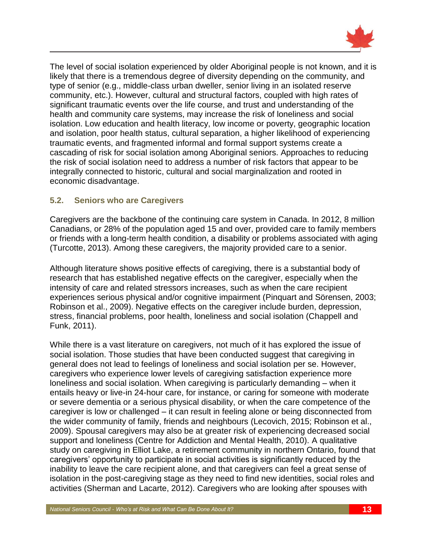

The level of social isolation experienced by older Aboriginal people is not known, and it is likely that there is a tremendous degree of diversity depending on the community, and type of senior (e.g., middle-class urban dweller, senior living in an isolated reserve community, etc.). However, cultural and structural factors, coupled with high rates of significant traumatic events over the life course, and trust and understanding of the health and community care systems, may increase the risk of loneliness and social isolation. Low education and health literacy, low income or poverty, geographic location and isolation, poor health status, cultural separation, a higher likelihood of experiencing traumatic events, and fragmented informal and formal support systems create a cascading of risk for social isolation among Aboriginal seniors. Approaches to reducing the risk of social isolation need to address a number of risk factors that appear to be integrally connected to historic, cultural and social marginalization and rooted in economic disadvantage.

#### <span id="page-16-0"></span>**5.2. Seniors who are Caregivers**

Caregivers are the backbone of the continuing care system in Canada. In 2012, 8 million Canadians, or 28% of the population aged 15 and over, provided care to family members or friends with a long-term health condition, a disability or problems associated with aging (Turcotte, 2013). Among these caregivers, the majority provided care to a senior.

Although literature shows positive effects of caregiving, there is a substantial body of research that has established negative effects on the caregiver, especially when the intensity of care and related stressors increases, such as when the care recipient experiences serious physical and/or cognitive impairment (Pinquart and Sörensen, 2003; Robinson et al., 2009). Negative effects on the caregiver include burden, depression, stress, financial problems, poor health, loneliness and social isolation (Chappell and Funk, 2011).

While there is a vast literature on caregivers, not much of it has explored the issue of social isolation. Those studies that have been conducted suggest that caregiving in general does not lead to feelings of loneliness and social isolation per se. However, caregivers who experience lower levels of caregiving satisfaction experience more loneliness and social isolation. When caregiving is particularly demanding – when it entails heavy or live-in 24-hour care, for instance, or caring for someone with moderate or severe dementia or a serious physical disability, or when the care competence of the caregiver is low or challenged – it can result in feeling alone or being disconnected from the wider community of family, friends and neighbours (Lecovich, 2015; Robinson et al., 2009). Spousal caregivers may also be at greater risk of experiencing decreased social support and loneliness (Centre for Addiction and Mental Health, 2010). A qualitative study on caregiving in Elliot Lake, a retirement community in northern Ontario, found that caregivers' opportunity to participate in social activities is significantly reduced by the inability to leave the care recipient alone, and that caregivers can feel a great sense of isolation in the post-caregiving stage as they need to find new identities, social roles and activities (Sherman and Lacarte, 2012). Caregivers who are looking after spouses with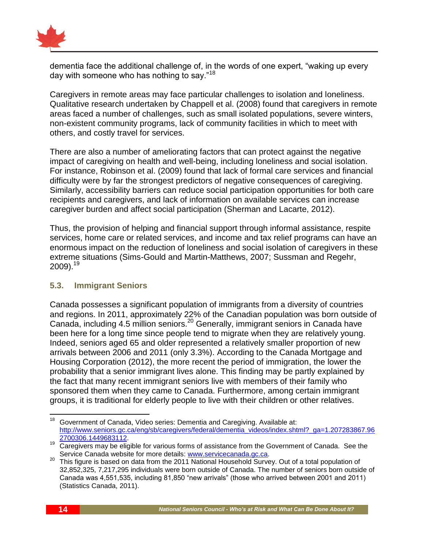

dementia face the additional challenge of, in the words of one expert, "waking up every day with someone who has nothing to say."<sup>18</sup>

Caregivers in remote areas may face particular challenges to isolation and loneliness. Qualitative research undertaken by Chappell et al. (2008) found that caregivers in remote areas faced a number of challenges, such as small isolated populations, severe winters, non-existent community programs, lack of community facilities in which to meet with others, and costly travel for services.

There are also a number of ameliorating factors that can protect against the negative impact of caregiving on health and well-being, including loneliness and social isolation. For instance, Robinson et al. (2009) found that lack of formal care services and financial difficulty were by far the strongest predictors of negative consequences of caregiving. Similarly, accessibility barriers can reduce social participation opportunities for both care recipients and caregivers, and lack of information on available services can increase caregiver burden and affect social participation (Sherman and Lacarte, 2012).

Thus, the provision of helping and financial support through informal assistance, respite services, home care or related services, and income and tax relief programs can have an enormous impact on the reduction of loneliness and social isolation of caregivers in these extreme situations (Sims-Gould and Martin-Matthews, 2007; Sussman and Regehr,  $2009$ ).<sup>19</sup>

#### <span id="page-17-0"></span>**5.3. Immigrant Seniors**

Canada possesses a significant population of immigrants from a diversity of countries and regions. In 2011, approximately 22% of the Canadian population was born outside of Canada, including 4.5 million seniors.<sup>20</sup> Generally, immigrant seniors in Canada have been here for a long time since people tend to migrate when they are relatively young. Indeed, seniors aged 65 and older represented a relatively smaller proportion of new arrivals between 2006 and 2011 (only 3.3%). According to the Canada Mortgage and Housing Corporation (2012), the more recent the period of immigration, the lower the probability that a senior immigrant lives alone. This finding may be partly explained by the fact that many recent immigrant seniors live with members of their family who sponsored them when they came to Canada. Furthermore, among certain immigrant groups, it is traditional for elderly people to live with their children or other relatives.

<sup>18</sup> <sup>18</sup> Government of Canada, Video series: Dementia and Caregiving. Available at: [http://www.seniors.gc.ca/eng/sb/caregivers/federal/dementia\\_videos/index.shtml?\\_ga=1.207283867.96](http://www.seniors.gc.ca/eng/sb/caregivers/federal/dementia_videos/index.shtml?_ga=1.207283867.962700306.1449683112) [2700306.1449683112.](http://www.seniors.gc.ca/eng/sb/caregivers/federal/dementia_videos/index.shtml?_ga=1.207283867.962700306.1449683112)

<sup>19</sup> Caregivers may be eligible for various forms of assistance from the Government of Canada. See the Service Canada website for more details: [www.servicecanada.gc.ca.](http://www.servicecanada.gc.ca/)

<sup>&</sup>lt;sup>20</sup> This figure is based on data from the 2011 National Household Survey. Out of a total population of 32,852,325, 7,217,295 individuals were born outside of Canada. The number of seniors born outside of Canada was 4,551,535, including 81,850 "new arrivals" (those who arrived between 2001 and 2011) (Statistics Canada, 2011).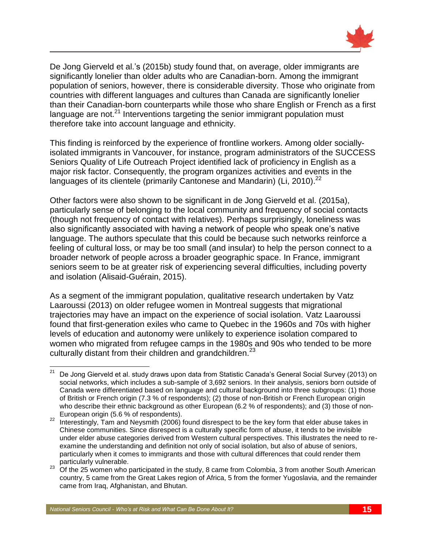

De Jong Gierveld et al.'s (2015b) study found that, on average, older immigrants are significantly lonelier than older adults who are Canadian-born. Among the immigrant population of seniors, however, there is considerable diversity. Those who originate from countries with different languages and cultures than Canada are significantly lonelier than their Canadian-born counterparts while those who share English or French as a first language are not. $^{21}$  Interventions targeting the senior immigrant population must therefore take into account language and ethnicity.

This finding is reinforced by the experience of frontline workers. Among older sociallyisolated immigrants in Vancouver, for instance, program administrators of the SUCCESS Seniors Quality of Life Outreach Project identified lack of proficiency in English as a major risk factor. Consequently, the program organizes activities and events in the languages of its clientele (primarily Cantonese and Mandarin) (Li, 2010).<sup>22</sup>

Other factors were also shown to be significant in de Jong Gierveld et al. (2015a), particularly sense of belonging to the local community and frequency of social contacts (though not frequency of contact with relatives). Perhaps surprisingly, loneliness was also significantly associated with having a network of people who speak one's native language. The authors speculate that this could be because such networks reinforce a feeling of cultural loss, or may be too small (and insular) to help the person connect to a broader network of people across a broader geographic space. In France, immigrant seniors seem to be at greater risk of experiencing several difficulties, including poverty and isolation (Alisaid-Guérain, 2015).

As a segment of the immigrant population, qualitative research undertaken by Vatz Laaroussi (2013) on older refugee women in Montreal suggests that migrational trajectories may have an impact on the experience of social isolation. Vatz Laaroussi found that first-generation exiles who came to Quebec in the 1960s and 70s with higher levels of education and autonomy were unlikely to experience isolation compared to women who migrated from refugee camps in the 1980s and 90s who tended to be more culturally distant from their children and grandchildren.<sup>23</sup>

 $21$ <sup>21</sup> De Jong Gierveld et al. study draws upon data from Statistic Canada's General Social Survey (2013) on social networks, which includes a sub-sample of 3,692 seniors. In their analysis, seniors born outside of Canada were differentiated based on language and cultural background into three subgroups: (1) those of British or French origin (7.3 % of respondents); (2) those of non-British or French European origin who describe their ethnic background as other European (6.2 % of respondents); and (3) those of non-European origin (5.6 % of respondents).

<sup>22</sup> Interestingly, Tam and Neysmith (2006) found disrespect to be the key form that elder abuse takes in Chinese communities. Since disrespect is a culturally specific form of abuse, it tends to be invisible under elder abuse categories derived from Western cultural perspectives. This illustrates the need to reexamine the understanding and definition not only of social isolation, but also of abuse of seniors, particularly when it comes to immigrants and those with cultural differences that could render them particularly vulnerable.

<sup>&</sup>lt;sup>23</sup> Of the 25 women who participated in the study, 8 came from Colombia, 3 from another South American country, 5 came from the Great Lakes region of Africa, 5 from the former Yugoslavia, and the remainder came from Iraq, Afghanistan, and Bhutan.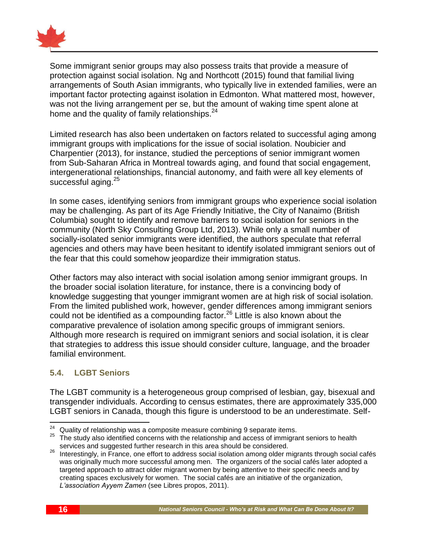

Some immigrant senior groups may also possess traits that provide a measure of protection against social isolation. Ng and Northcott (2015) found that familial living arrangements of South Asian immigrants, who typically live in extended families, were an important factor protecting against isolation in Edmonton. What mattered most, however, was not the living arrangement per se, but the amount of waking time spent alone at home and the quality of family relationships.<sup>24</sup>

Limited research has also been undertaken on factors related to successful aging among immigrant groups with implications for the issue of social isolation. Noubicier and Charpentier (2013), for instance, studied the perceptions of senior immigrant women from Sub-Saharan Africa in Montreal towards aging, and found that social engagement, intergenerational relationships, financial autonomy, and faith were all key elements of successful aging.<sup>25</sup>

In some cases, identifying seniors from immigrant groups who experience social isolation may be challenging. As part of its Age Friendly Initiative, the City of Nanaimo (British Columbia) sought to identify and remove barriers to social isolation for seniors in the community (North Sky Consulting Group Ltd, 2013). While only a small number of socially-isolated senior immigrants were identified, the authors speculate that referral agencies and others may have been hesitant to identify isolated immigrant seniors out of the fear that this could somehow jeopardize their immigration status.

Other factors may also interact with social isolation among senior immigrant groups. In the broader social isolation literature, for instance, there is a convincing body of knowledge suggesting that younger immigrant women are at high risk of social isolation. From the limited published work, however, gender differences among immigrant seniors could not be identified as a compounding factor. $^{26}$  Little is also known about the comparative prevalence of isolation among specific groups of immigrant seniors. Although more research is required on immigrant seniors and social isolation, it is clear that strategies to address this issue should consider culture, language, and the broader familial environment.

#### <span id="page-19-0"></span>**5.4. LGBT Seniors**

The LGBT community is a heterogeneous group comprised of lesbian, gay, bisexual and transgender individuals. According to census estimates, there are approximately 335,000 LGBT seniors in Canada, though this figure is understood to be an underestimate. Self-

 $\overline{a}$  $24$  Quality of relationship was a composite measure combining 9 separate items.

 $25$  The study also identified concerns with the relationship and access of immigrant seniors to health services and suggested further research in this area should be considered.

<sup>26</sup> Interestingly, in France, one effort to address social isolation among older migrants through social cafés was originally much more successful among men. The organizers of the social cafés later adopted a targeted approach to attract older migrant women by being attentive to their specific needs and by creating spaces exclusively for women. The social cafés are an initiative of the organization, *L'association Ayyem Zamen* (see Libres propos, 2011).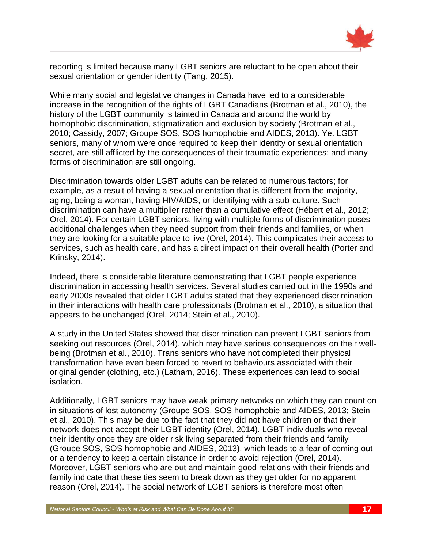

reporting is limited because many LGBT seniors are reluctant to be open about their sexual orientation or gender identity (Tang, 2015).

While many social and legislative changes in Canada have led to a considerable increase in the recognition of the rights of LGBT Canadians (Brotman et al., 2010), the history of the LGBT community is tainted in Canada and around the world by homophobic discrimination, stigmatization and exclusion by society (Brotman et al., 2010; Cassidy, 2007; Groupe SOS, SOS homophobie and AIDES, 2013). Yet LGBT seniors, many of whom were once required to keep their identity or sexual orientation secret, are still afflicted by the consequences of their traumatic experiences; and many forms of discrimination are still ongoing.

Discrimination towards older LGBT adults can be related to numerous factors; for example, as a result of having a sexual orientation that is different from the majority, aging, being a woman, having HIV/AIDS, or identifying with a sub-culture. Such discrimination can have a multiplier rather than a cumulative effect (Hébert et al., 2012; Orel, 2014). For certain LGBT seniors, living with multiple forms of discrimination poses additional challenges when they need support from their friends and families, or when they are looking for a suitable place to live (Orel, 2014). This complicates their access to services, such as health care, and has a direct impact on their overall health (Porter and Krinsky, 2014).

Indeed, there is considerable literature demonstrating that LGBT people experience discrimination in accessing health services. Several studies carried out in the 1990s and early 2000s revealed that older LGBT adults stated that they experienced discrimination in their interactions with health care professionals (Brotman et al., 2010), a situation that appears to be unchanged (Orel, 2014; Stein et al., 2010).

A study in the United States showed that discrimination can prevent LGBT seniors from seeking out resources (Orel, 2014), which may have serious consequences on their wellbeing (Brotman et al., 2010). Trans seniors who have not completed their physical transformation have even been forced to revert to behaviours associated with their original gender (clothing, etc.) (Latham, 2016). These experiences can lead to social isolation.

Additionally, LGBT seniors may have weak primary networks on which they can count on in situations of lost autonomy (Groupe SOS, SOS homophobie and AIDES, 2013; Stein et al., 2010). This may be due to the fact that they did not have children or that their network does not accept their LGBT identity (Orel, 2014). LGBT individuals who reveal their identity once they are older risk living separated from their friends and family (Groupe SOS, SOS homophobie and AIDES, 2013), which leads to a fear of coming out or a tendency to keep a certain distance in order to avoid rejection (Orel, 2014). Moreover, LGBT seniors who are out and maintain good relations with their friends and family indicate that these ties seem to break down as they get older for no apparent reason (Orel, 2014). The social network of LGBT seniors is therefore most often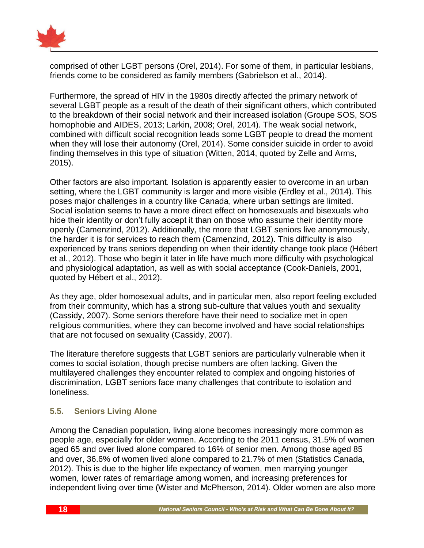

comprised of other LGBT persons (Orel, 2014). For some of them, in particular lesbians, friends come to be considered as family members (Gabrielson et al., 2014).

Furthermore, the spread of HIV in the 1980s directly affected the primary network of several LGBT people as a result of the death of their significant others, which contributed to the breakdown of their social network and their increased isolation (Groupe SOS, SOS homophobie and AIDES, 2013; Larkin, 2008; Orel, 2014). The weak social network, combined with difficult social recognition leads some LGBT people to dread the moment when they will lose their autonomy (Orel, 2014). Some consider suicide in order to avoid finding themselves in this type of situation (Witten, 2014, quoted by Zelle and Arms, 2015).

Other factors are also important. Isolation is apparently easier to overcome in an urban setting, where the LGBT community is larger and more visible (Erdley et al., 2014). This poses major challenges in a country like Canada, where urban settings are limited. Social isolation seems to have a more direct effect on homosexuals and bisexuals who hide their identity or don't fully accept it than on those who assume their identity more openly (Camenzind, 2012). Additionally, the more that LGBT seniors live anonymously, the harder it is for services to reach them (Camenzind, 2012). This difficulty is also experienced by trans seniors depending on when their identity change took place (Hébert et al., 2012). Those who begin it later in life have much more difficulty with psychological and physiological adaptation, as well as with social acceptance (Cook-Daniels, 2001, quoted by Hébert et al., 2012).

As they age, older homosexual adults, and in particular men, also report feeling excluded from their community, which has a strong sub-culture that values youth and sexuality (Cassidy, 2007). Some seniors therefore have their need to socialize met in open religious communities, where they can become involved and have social relationships that are not focused on sexuality (Cassidy, 2007).

The literature therefore suggests that LGBT seniors are particularly vulnerable when it comes to social isolation, though precise numbers are often lacking. Given the multilayered challenges they encounter related to complex and ongoing histories of discrimination, LGBT seniors face many challenges that contribute to isolation and loneliness.

#### <span id="page-21-0"></span>**5.5. Seniors Living Alone**

Among the Canadian population, living alone becomes increasingly more common as people age, especially for older women. According to the 2011 census, 31.5% of women aged 65 and over lived alone compared to 16% of senior men. Among those aged 85 and over, 36.6% of women lived alone compared to 21.7% of men (Statistics Canada, 2012). This is due to the higher life expectancy of women, men marrying younger women, lower rates of remarriage among women, and increasing preferences for independent living over time (Wister and McPherson, 2014). Older women are also more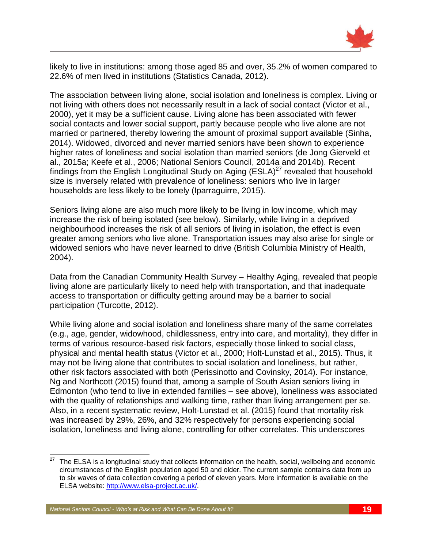

likely to live in institutions: among those aged 85 and over, 35.2% of women compared to 22.6% of men lived in institutions (Statistics Canada, 2012).

The association between living alone, social isolation and loneliness is complex. Living or not living with others does not necessarily result in a lack of social contact (Victor et al., 2000), yet it may be a sufficient cause. Living alone has been associated with fewer social contacts and lower social support, partly because people who live alone are not married or partnered, thereby lowering the amount of proximal support available (Sinha, 2014). Widowed, divorced and never married seniors have been shown to experience higher rates of loneliness and social isolation than married seniors (de Jong Gierveld et al., 2015a; Keefe et al., 2006; National Seniors Council, 2014a and 2014b). Recent findings from the English Longitudinal Study on Aging  $(ESLA)^{27}$  revealed that household size is inversely related with prevalence of loneliness: seniors who live in larger households are less likely to be lonely (Iparraguirre, 2015).

Seniors living alone are also much more likely to be living in low income, which may increase the risk of being isolated (see below). Similarly, while living in a deprived neighbourhood increases the risk of all seniors of living in isolation, the effect is even greater among seniors who live alone. Transportation issues may also arise for single or widowed seniors who have never learned to drive (British Columbia Ministry of Health, 2004).

Data from the Canadian Community Health Survey – Healthy Aging, revealed that people living alone are particularly likely to need help with transportation, and that inadequate access to transportation or difficulty getting around may be a barrier to social participation (Turcotte, 2012).

While living alone and social isolation and loneliness share many of the same correlates (e.g., age, gender, widowhood, childlessness, entry into care, and mortality), they differ in terms of various resource-based risk factors, especially those linked to social class, physical and mental health status (Victor et al., 2000; Holt-Lunstad et al., 2015). Thus, it may not be living alone that contributes to social isolation and loneliness, but rather, other risk factors associated with both (Perissinotto and Covinsky, 2014). For instance, Ng and Northcott (2015) found that, among a sample of South Asian seniors living in Edmonton (who tend to live in extended families – see above), loneliness was associated with the quality of relationships and walking time, rather than living arrangement per se. Also, in a recent systematic review, Holt-Lunstad et al. (2015) found that mortality risk was increased by 29%, 26%, and 32% respectively for persons experiencing social isolation, loneliness and living alone, controlling for other correlates. This underscores

<sup>27</sup> <sup>27</sup> The ELSA is a longitudinal study that collects information on the health, social, wellbeing and economic circumstances of the English population aged 50 and older. The current sample contains data from up to six waves of data collection covering a period of eleven years. More information is available on the ELSA website: [http://www.elsa-project.ac.uk/.](http://www.elsa-project.ac.uk/)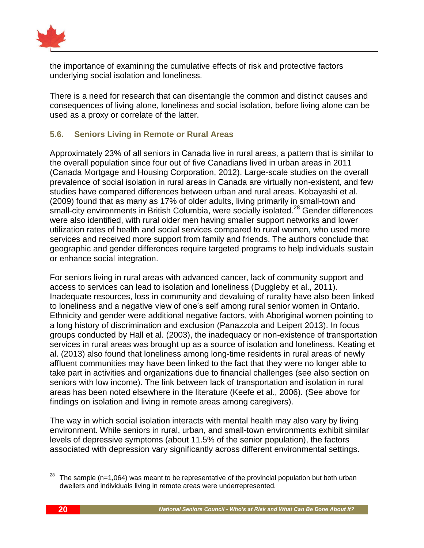

the importance of examining the cumulative effects of risk and protective factors underlying social isolation and loneliness.

There is a need for research that can disentangle the common and distinct causes and consequences of living alone, loneliness and social isolation, before living alone can be used as a proxy or correlate of the latter.

#### <span id="page-23-0"></span>**5.6. Seniors Living in Remote or Rural Areas**

Approximately 23% of all seniors in Canada live in rural areas, a pattern that is similar to the overall population since four out of five Canadians lived in urban areas in 2011 (Canada Mortgage and Housing Corporation, 2012). Large-scale studies on the overall prevalence of social isolation in rural areas in Canada are virtually non-existent, and few studies have compared differences between urban and rural areas. Kobayashi et al. (2009) found that as many as 17% of older adults, living primarily in small-town and small-city environments in British Columbia, were socially isolated.<sup>28</sup> Gender differences were also identified, with rural older men having smaller support networks and lower utilization rates of health and social services compared to rural women, who used more services and received more support from family and friends. The authors conclude that geographic and gender differences require targeted programs to help individuals sustain or enhance social integration.

For seniors living in rural areas with advanced cancer, lack of community support and access to services can lead to isolation and loneliness (Duggleby et al., 2011). Inadequate resources, loss in community and devaluing of rurality have also been linked to loneliness and a negative view of one's self among rural senior women in Ontario. Ethnicity and gender were additional negative factors, with Aboriginal women pointing to a long history of discrimination and exclusion (Panazzola and Leipert 2013). In focus groups conducted by Hall et al. (2003), the inadequacy or non-existence of transportation services in rural areas was brought up as a source of isolation and loneliness. Keating et al. (2013) also found that loneliness among long-time residents in rural areas of newly affluent communities may have been linked to the fact that they were no longer able to take part in activities and organizations due to financial challenges (see also section on seniors with low income). The link between lack of transportation and isolation in rural areas has been noted elsewhere in the literature (Keefe et al., 2006). (See above for findings on isolation and living in remote areas among caregivers).

The way in which social isolation interacts with mental health may also vary by living environment. While seniors in rural, urban, and small-town environments exhibit similar levels of depressive symptoms (about 11.5% of the senior population), the factors associated with depression vary significantly across different environmental settings.

<sup>28</sup> The sample  $(n=1,064)$  was meant to be representative of the provincial population but both urban dwellers and individuals living in remote areas were underrepresented.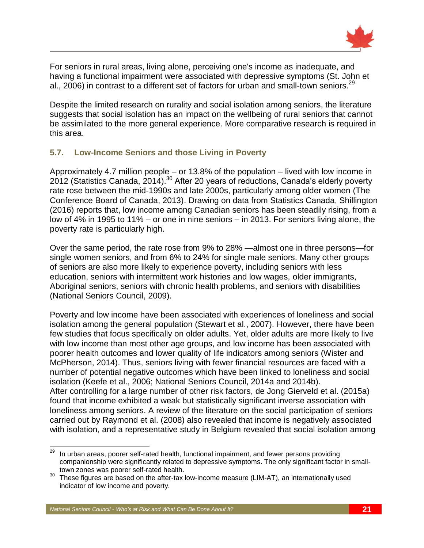

For seniors in rural areas, living alone, perceiving one's income as inadequate, and having a functional impairment were associated with depressive symptoms (St. John et al., 2006) in contrast to a different set of factors for urban and small-town seniors.  $29$ 

Despite the limited research on rurality and social isolation among seniors, the literature suggests that social isolation has an impact on the wellbeing of rural seniors that cannot be assimilated to the more general experience. More comparative research is required in this area.

#### <span id="page-24-0"></span>**5.7. Low-Income Seniors and those Living in Poverty**

Approximately 4.7 million people – or 13.8% of the population – lived with low income in 2012 (Statistics Canada, 2014).<sup>30</sup> After 20 years of reductions, Canada's elderly poverty rate rose between the mid-1990s and late 2000s, particularly among older women (The Conference Board of Canada, 2013). Drawing on data from Statistics Canada, Shillington (2016) reports that, low income among Canadian seniors has been steadily rising, from a low of 4% in 1995 to 11% – or one in nine seniors – in 2013. For seniors living alone, the poverty rate is particularly high.

Over the same period, the rate rose from 9% to 28% —almost one in three persons—for single women seniors, and from 6% to 24% for single male seniors. Many other groups of seniors are also more likely to experience poverty, including seniors with less education, seniors with intermittent work histories and low wages, older immigrants, Aboriginal seniors, seniors with chronic health problems, and seniors with disabilities (National Seniors Council, 2009).

Poverty and low income have been associated with experiences of loneliness and social isolation among the general population (Stewart et al., 2007). However, there have been few studies that focus specifically on older adults. Yet, older adults are more likely to live with low income than most other age groups, and low income has been associated with poorer health outcomes and lower quality of life indicators among seniors (Wister and McPherson, 2014). Thus, seniors living with fewer financial resources are faced with a number of potential negative outcomes which have been linked to loneliness and social isolation (Keefe et al., 2006; National Seniors Council, 2014a and 2014b). After controlling for a large number of other risk factors, de Jong Gierveld et al. (2015a) found that income exhibited a weak but statistically significant inverse association with loneliness among seniors. A review of the literature on the social participation of seniors carried out by Raymond et al. (2008) also revealed that income is negatively associated with isolation, and a representative study in Belgium revealed that social isolation among

 $\overline{a}$ 

 $^{29}$  In urban areas, poorer self-rated health, functional impairment, and fewer persons providing companionship were significantly related to depressive symptoms. The only significant factor in smalltown zones was poorer self-rated health.

<sup>&</sup>lt;sup>30</sup> These figures are based on the after-tax low-income measure (LIM-AT), an internationally used indicator of low income and poverty.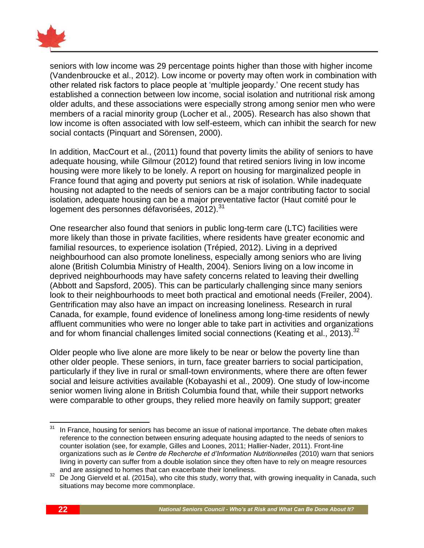

seniors with low income was 29 percentage points higher than those with higher income (Vandenbroucke et al., 2012). Low income or poverty may often work in combination with other related risk factors to place people at 'multiple jeopardy.' One recent study has established a connection between low income, social isolation and nutritional risk among older adults, and these associations were especially strong among senior men who were members of a racial minority group (Locher et al., 2005). Research has also shown that low income is often associated with low self-esteem, which can inhibit the search for new social contacts (Pinquart and Sörensen, 2000).

In addition, MacCourt et al., (2011) found that poverty limits the ability of seniors to have adequate housing, while Gilmour (2012) found that retired seniors living in low income housing were more likely to be lonely. A report on housing for marginalized people in France found that aging and poverty put seniors at risk of isolation. While inadequate housing not adapted to the needs of seniors can be a major contributing factor to social isolation, adequate housing can be a major preventative factor (Haut comité pour le logement des personnes défavorisées, 2012).<sup>31</sup>

One researcher also found that seniors in public long-term care (LTC) facilities were more likely than those in private facilities, where residents have greater economic and familial resources, to experience isolation (Trépied, 2012). Living in a deprived neighbourhood can also promote loneliness, especially among seniors who are living alone (British Columbia Ministry of Health, 2004). Seniors living on a low income in deprived neighbourhoods may have safety concerns related to leaving their dwelling (Abbott and Sapsford, 2005). This can be particularly challenging since many seniors look to their neighbourhoods to meet both practical and emotional needs (Freiler, 2004). Gentrification may also have an impact on increasing loneliness. Research in rural Canada, for example, found evidence of loneliness among long-time residents of newly affluent communities who were no longer able to take part in activities and organizations and for whom financial challenges limited social connections (Keating et al., 2013).<sup>32</sup>

Older people who live alone are more likely to be near or below the poverty line than other older people. These seniors, in turn, face greater barriers to social participation, particularly if they live in rural or small-town environments, where there are often fewer social and leisure activities available (Kobayashi et al., 2009). One study of low-income senior women living alone in British Columbia found that, while their support networks were comparable to other groups, they relied more heavily on family support; greater

 $31$ In France, housing for seniors has become an issue of national importance. The debate often makes reference to the connection between ensuring adequate housing adapted to the needs of seniors to counter isolation (see, for example, Gilles and Loones, 2011; Hallier-Nader, 2011). Front-line organizations such as *le Centre de Recherche et d'Information Nutritionnelles* (2010) warn that seniors living in poverty can suffer from a double isolation since they often have to rely on meagre resources and are assigned to homes that can exacerbate their loneliness.

<sup>&</sup>lt;sup>32</sup> De Jong Gierveld et al. (2015a), who cite this study, worry that, with growing inequality in Canada, such situations may become more commonplace.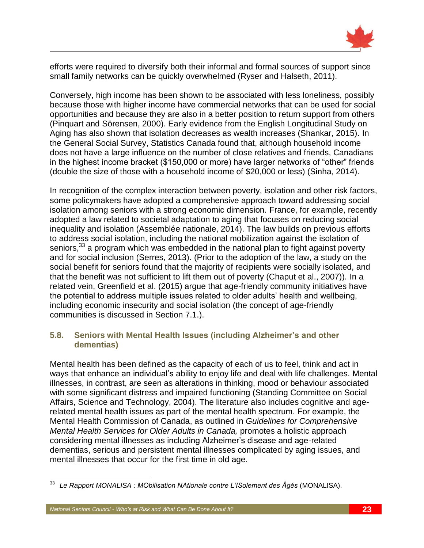

efforts were required to diversify both their informal and formal sources of support since small family networks can be quickly overwhelmed (Ryser and Halseth, 2011).

Conversely, high income has been shown to be associated with less loneliness, possibly because those with higher income have commercial networks that can be used for social opportunities and because they are also in a better position to return support from others (Pinquart and Sörensen, 2000). Early evidence from the English Longitudinal Study on Aging has also shown that isolation decreases as wealth increases (Shankar, 2015). In the General Social Survey, Statistics Canada found that, although household income does not have a large influence on the number of close relatives and friends, Canadians in the highest income bracket (\$150,000 or more) have larger networks of "other" friends (double the size of those with a household income of \$20,000 or less) (Sinha, 2014).

In recognition of the complex interaction between poverty, isolation and other risk factors, some policymakers have adopted a comprehensive approach toward addressing social isolation among seniors with a strong economic dimension. France, for example, recently adopted a law related to societal adaptation to aging that focuses on reducing social inequality and isolation (Assemblée nationale, 2014). The law builds on previous efforts to address social isolation, including the national mobilization against the isolation of seniors,<sup>33</sup> a program which was embedded in the national plan to fight against poverty and for social inclusion (Serres, 2013). (Prior to the adoption of the law, a study on the social benefit for seniors found that the majority of recipients were socially isolated, and that the benefit was not sufficient to lift them out of poverty (Chaput et al., 2007)). In a related vein, Greenfield et al. (2015) argue that age-friendly community initiatives have the potential to address multiple issues related to older adults' health and wellbeing, including economic insecurity and social isolation (the concept of age-friendly communities is discussed in Section 7.1.).

#### <span id="page-26-0"></span>**5.8. Seniors with Mental Health Issues (including Alzheimer's and other dementias)**

Mental health has been defined as the capacity of each of us to feel, think and act in ways that enhance an individual's ability to enjoy life and deal with life challenges. Mental illnesses, in contrast, are seen as alterations in thinking, mood or behaviour associated with some significant distress and impaired functioning (Standing Committee on Social Affairs, Science and Technology, 2004). The literature also includes cognitive and agerelated mental health issues as part of the mental health spectrum. For example, the Mental Health Commission of Canada, as outlined in *Guidelines for Comprehensive Mental Health Services for Older Adults in Canada,* promotes a holistic approach considering mental illnesses as including Alzheimer's disease and age-related dementias, serious and persistent mental illnesses complicated by aging issues, and mental illnesses that occur for the first time in old age.

 $33\,$ <sup>33</sup> *Le Rapport MONALISA : MObilisation NAtionale contre L'ISolement des Âgés* (MONALISA).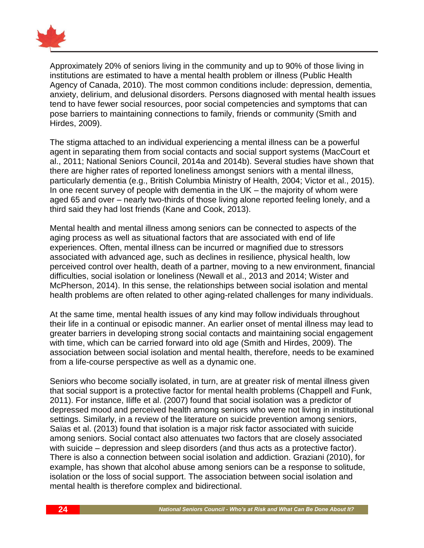

Approximately 20% of seniors living in the community and up to 90% of those living in institutions are estimated to have a mental health problem or illness (Public Health Agency of Canada, 2010). The most common conditions include: depression, dementia, anxiety, delirium, and delusional disorders. Persons diagnosed with mental health issues tend to have fewer social resources, poor social competencies and symptoms that can pose barriers to maintaining connections to family, friends or community (Smith and Hirdes, 2009).

The stigma attached to an individual experiencing a mental illness can be a powerful agent in separating them from social contacts and social support systems (MacCourt et al., 2011; National Seniors Council, 2014a and 2014b). Several studies have shown that there are higher rates of reported loneliness amongst seniors with a mental illness, particularly dementia (e.g., British Columbia Ministry of Health, 2004; Victor et al., 2015). In one recent survey of people with dementia in the  $UK -$  the majority of whom were aged 65 and over – nearly two-thirds of those living alone reported feeling lonely, and a third said they had lost friends (Kane and Cook, 2013).

Mental health and mental illness among seniors can be connected to aspects of the aging process as well as situational factors that are associated with end of life experiences. Often, mental illness can be incurred or magnified due to stressors associated with advanced age, such as declines in resilience, physical health, low perceived control over health, death of a partner, moving to a new environment, financial difficulties, social isolation or loneliness (Newall et al., 2013 and 2014; Wister and McPherson, 2014). In this sense, the relationships between social isolation and mental health problems are often related to other aging-related challenges for many individuals.

At the same time, mental health issues of any kind may follow individuals throughout their life in a continual or episodic manner. An earlier onset of mental illness may lead to greater barriers in developing strong social contacts and maintaining social engagement with time, which can be carried forward into old age (Smith and Hirdes, 2009). The association between social isolation and mental health, therefore, needs to be examined from a life-course perspective as well as a dynamic one.

Seniors who become socially isolated, in turn, are at greater risk of mental illness given that social support is a protective factor for mental health problems (Chappell and Funk, 2011). For instance, Iliffe et al. (2007) found that social isolation was a predictor of depressed mood and perceived health among seniors who were not living in institutional settings. Similarly, in a review of the literature on suicide prevention among seniors, Saïas et al. (2013) found that isolation is a major risk factor associated with suicide among seniors. Social contact also attenuates two factors that are closely associated with suicide – depression and sleep disorders (and thus acts as a protective factor). There is also a connection between social isolation and addiction. Graziani (2010), for example, has shown that alcohol abuse among seniors can be a response to solitude, isolation or the loss of social support. The association between social isolation and mental health is therefore complex and bidirectional.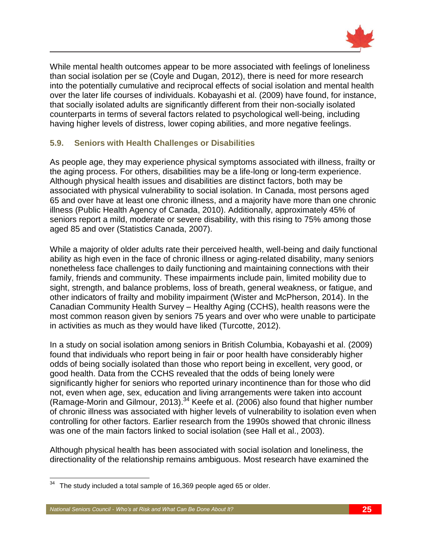

While mental health outcomes appear to be more associated with feelings of loneliness than social isolation per se (Coyle and Dugan, 2012), there is need for more research into the potentially cumulative and reciprocal effects of social isolation and mental health over the later life courses of individuals. Kobayashi et al. (2009) have found, for instance, that socially isolated adults are significantly different from their non-socially isolated counterparts in terms of several factors related to psychological well-being, including having higher levels of distress, lower coping abilities, and more negative feelings.

#### <span id="page-28-0"></span>**5.9. Seniors with Health Challenges or Disabilities**

As people age, they may experience physical symptoms associated with illness, frailty or the aging process. For others, disabilities may be a life-long or long-term experience. Although physical health issues and disabilities are distinct factors, both may be associated with physical vulnerability to social isolation. In Canada, most persons aged 65 and over have at least one chronic illness, and a majority have more than one chronic illness (Public Health Agency of Canada, 2010). Additionally, approximately 45% of seniors report a mild, moderate or severe disability, with this rising to 75% among those aged 85 and over (Statistics Canada, 2007).

While a majority of older adults rate their perceived health, well-being and daily functional ability as high even in the face of chronic illness or aging-related disability, many seniors nonetheless face challenges to daily functioning and maintaining connections with their family, friends and community. These impairments include pain, limited mobility due to sight, strength, and balance problems, loss of breath, general weakness, or fatigue, and other indicators of frailty and mobility impairment (Wister and McPherson, 2014). In the Canadian Community Health Survey – Healthy Aging (CCHS), health reasons were the most common reason given by seniors 75 years and over who were unable to participate in activities as much as they would have liked (Turcotte, 2012).

In a study on social isolation among seniors in British Columbia, Kobayashi et al. (2009) found that individuals who report being in fair or poor health have considerably higher odds of being socially isolated than those who report being in excellent, very good, or good health. Data from the CCHS revealed that the odds of being lonely were significantly higher for seniors who reported urinary incontinence than for those who did not, even when age, sex, education and living arrangements were taken into account (Ramage-Morin and Gilmour, 2013).<sup>34</sup> Keefe et al. (2006) also found that higher number of chronic illness was associated with higher levels of vulnerability to isolation even when controlling for other factors. Earlier research from the 1990s showed that chronic illness was one of the main factors linked to social isolation (see Hall et al., 2003).

Although physical health has been associated with social isolation and loneliness, the directionality of the relationship remains ambiguous. Most research have examined the

<sup>34</sup> The study included a total sample of 16,369 people aged 65 or older.

*National Seniors Council - Who's at Risk and What Can Be Done About It?* **25**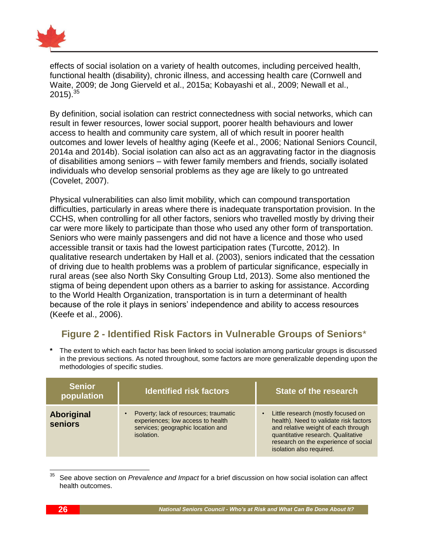

effects of social isolation on a variety of health outcomes, including perceived health, functional health (disability), chronic illness, and accessing health care (Cornwell and Waite, 2009; de Jong Gierveld et al., 2015a; Kobayashi et al., 2009; Newall et al.,  $2015$ ).<sup>35</sup>

By definition, social isolation can restrict connectedness with social networks, which can result in fewer resources, lower social support, poorer health behaviours and lower access to health and community care system, all of which result in poorer health outcomes and lower levels of healthy aging (Keefe et al., 2006; National Seniors Council, 2014a and 2014b). Social isolation can also act as an aggravating factor in the diagnosis of disabilities among seniors – with fewer family members and friends, socially isolated individuals who develop sensorial problems as they age are likely to go untreated (Covelet, 2007).

Physical vulnerabilities can also limit mobility, which can compound transportation difficulties, particularly in areas where there is inadequate transportation provision. In the CCHS, when controlling for all other factors, seniors who travelled mostly by driving their car were more likely to participate than those who used any other form of transportation. Seniors who were mainly passengers and did not have a licence and those who used accessible transit or taxis had the lowest participation rates (Turcotte, 2012). In qualitative research undertaken by Hall et al. (2003), seniors indicated that the cessation of driving due to health problems was a problem of particular significance, especially in rural areas (see also North Sky Consulting Group Ltd, 2013). Some also mentioned the stigma of being dependent upon others as a barrier to asking for assistance. According to the World Health Organization, transportation is in turn a determinant of health because of the role it plays in seniors' independence and ability to access resources (Keefe et al., 2006).

# **Figure 2 - Identified Risk Factors in Vulnerable Groups of Seniors**\*

**\*** The extent to which each factor has been linked to social isolation among particular groups is discussed in the previous sections. As noted throughout, some factors are more generalizable depending upon the methodologies of specific studies.

| <b>Senior</b><br>population         | <b>Identified risk factors</b>                                                                                                | State of the research                                                                                                                                                                                                         |
|-------------------------------------|-------------------------------------------------------------------------------------------------------------------------------|-------------------------------------------------------------------------------------------------------------------------------------------------------------------------------------------------------------------------------|
| <b>Aboriginal</b><br><b>seniors</b> | Poverty; lack of resources; traumatic<br>experiences; low access to health<br>services; geographic location and<br>isolation. | Little research (mostly focused on<br>health). Need to validate risk factors<br>and relative weight of each through<br>quantitative research. Qualitative<br>research on the experience of social<br>isolation also required. |

<sup>35</sup> <sup>35</sup> See above section on *Prevalence and Impact* for a brief discussion on how social isolation can affect health outcomes.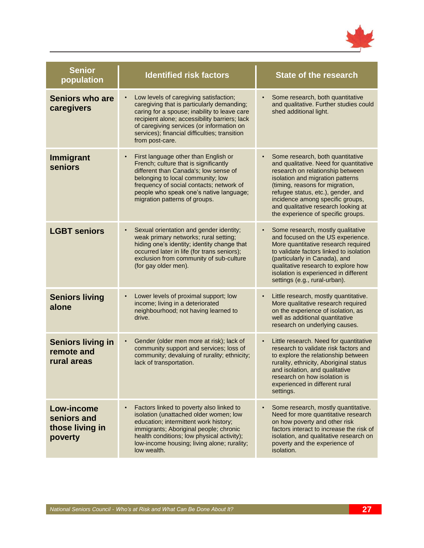

| <b>Senior</b><br>population                             | <b>Identified risk factors</b>                                                                                                                                                                                                                                                                         | <b>State of the research</b>                                                                                                                                                                                                                                                                                                                 |  |
|---------------------------------------------------------|--------------------------------------------------------------------------------------------------------------------------------------------------------------------------------------------------------------------------------------------------------------------------------------------------------|----------------------------------------------------------------------------------------------------------------------------------------------------------------------------------------------------------------------------------------------------------------------------------------------------------------------------------------------|--|
| <b>Seniors who are</b><br>caregivers                    | Low levels of caregiving satisfaction;<br>caregiving that is particularly demanding;<br>caring for a spouse; inability to leave care<br>recipient alone; accessibility barriers; lack<br>of caregiving services (or information on<br>services); financial difficulties; transition<br>from post-care. | Some research, both quantitative<br>and qualitative. Further studies could<br>shed additional light.                                                                                                                                                                                                                                         |  |
| <b>Immigrant</b><br>seniors                             | First language other than English or<br>French; culture that is significantly<br>different than Canada's; low sense of<br>belonging to local community; low<br>frequency of social contacts; network of<br>people who speak one's native language;<br>migration patterns of groups.                    | Some research, both quantitative<br>and qualitative. Need for quantitative<br>research on relationship between<br>isolation and migration patterns<br>(timing, reasons for migration,<br>refugee status, etc.), gender, and<br>incidence among specific groups,<br>and qualitative research looking at<br>the experience of specific groups. |  |
| <b>LGBT seniors</b>                                     | Sexual orientation and gender identity;<br>weak primary networks; rural setting;<br>hiding one's identity; identity change that<br>occurred later in life (for trans seniors);<br>exclusion from community of sub-culture<br>(for gay older men).                                                      | Some research, mostly qualitative<br>and focused on the US experience.<br>More quantitative research required<br>to validate factors linked to isolation<br>(particularly in Canada), and<br>qualitative research to explore how<br>isolation is experienced in different<br>settings (e.g., rural-urban).                                   |  |
| <b>Seniors living</b><br>alone                          | Lower levels of proximal support; low<br>income; living in a deteriorated<br>neighbourhood; not having learned to<br>drive.                                                                                                                                                                            | Little research, mostly quantitative.<br>More qualitative research required<br>on the experience of isolation, as<br>well as additional quantitative<br>research on underlying causes.                                                                                                                                                       |  |
| <b>Seniors living in</b><br>remote and<br>rural areas   | Gender (older men more at risk); lack of<br>community support and services; loss of<br>community; devaluing of rurality; ethnicity;<br>lack of transportation.                                                                                                                                         | Little research. Need for quantitative<br>research to validate risk factors and<br>to explore the relationship between<br>rurality, ethnicity, Aboriginal status<br>and isolation, and qualitative<br>research on how isolation is<br>experienced in different rural<br>settings.                                                            |  |
| Low-income<br>seniors and<br>those living in<br>poverty | Factors linked to poverty also linked to<br>isolation (unattached older women; low<br>education; intermittent work history;<br>immigrants; Aboriginal people; chronic<br>health conditions; low physical activity);<br>low-income housing; living alone; rurality;<br>low wealth.                      | Some research, mostly quantitative.<br>$\bullet$<br>Need for more quantitative research<br>on how poverty and other risk<br>factors interact to increase the risk of<br>isolation, and qualitative research on<br>poverty and the experience of<br>isolation.                                                                                |  |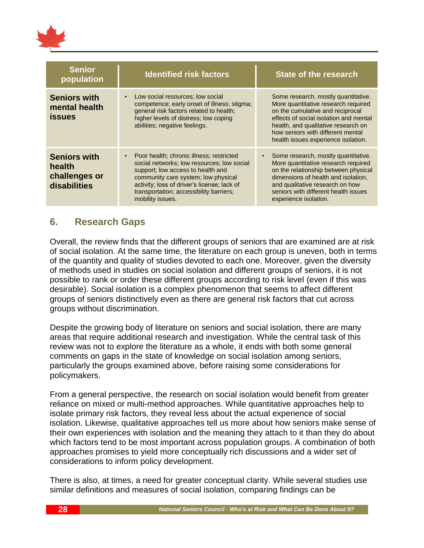

| <b>Senior</b><br>population                                    | <b>Identified risk factors</b>                                                                                                                                                                                                                                                   | <b>State of the research</b>                                                                                                                                                                                                                                                |
|----------------------------------------------------------------|----------------------------------------------------------------------------------------------------------------------------------------------------------------------------------------------------------------------------------------------------------------------------------|-----------------------------------------------------------------------------------------------------------------------------------------------------------------------------------------------------------------------------------------------------------------------------|
| <b>Seniors with</b><br>mental health<br><b>issues</b>          | Low social resources; low social<br>competence; early onset of illness; stigma;<br>general risk factors related to health;<br>higher levels of distress; low coping<br>abilities; negative feelings.                                                                             | Some research, mostly quantitative.<br>More quantitative research required<br>on the cumulative and reciprocal<br>effects of social isolation and mental<br>health, and qualitative research on<br>how seniors with different mental<br>health issues experience isolation. |
| <b>Seniors with</b><br>health<br>challenges or<br>disabilities | Poor health; chronic illness; restricted<br>social networks; low resources; low social<br>support; low access to health and<br>community care system; low physical<br>activity; loss of driver's license; lack of<br>transportation; accessibility barriers;<br>mobility issues. | Some research, mostly quantitative.<br>More quantitative research required<br>on the relationship between physical<br>dimensions of health and isolation,<br>and qualitative research on how<br>seniors with different health issues<br>experience isolation.               |

### <span id="page-31-0"></span>**6. Research Gaps**

Overall, the review finds that the different groups of seniors that are examined are at risk of social isolation. At the same time, the literature on each group is uneven, both in terms of the quantity and quality of studies devoted to each one. Moreover, given the diversity of methods used in studies on social isolation and different groups of seniors, it is not possible to rank or order these different groups according to risk level (even if this was desirable). Social isolation is a complex phenomenon that seems to affect different groups of seniors distinctively even as there are general risk factors that cut across groups without discrimination.

Despite the growing body of literature on seniors and social isolation, there are many areas that require additional research and investigation. While the central task of this review was not to explore the literature as a whole, it ends with both some general comments on gaps in the state of knowledge on social isolation among seniors, particularly the groups examined above, before raising some considerations for policymakers.

From a general perspective, the research on social isolation would benefit from greater reliance on mixed or multi-method approaches. While quantitative approaches help to isolate primary risk factors, they reveal less about the actual experience of social isolation. Likewise, qualitative approaches tell us more about how seniors make sense of their own experiences with isolation and the meaning they attach to it than they do about which factors tend to be most important across population groups. A combination of both approaches promises to yield more conceptually rich discussions and a wider set of considerations to inform policy development.

There is also, at times, a need for greater conceptual clarity. While several studies use similar definitions and measures of social isolation, comparing findings can be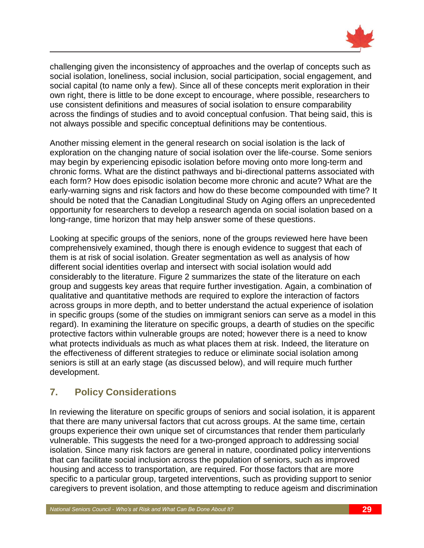

challenging given the inconsistency of approaches and the overlap of concepts such as social isolation, loneliness, social inclusion, social participation, social engagement, and social capital (to name only a few). Since all of these concepts merit exploration in their own right, there is little to be done except to encourage, where possible, researchers to use consistent definitions and measures of social isolation to ensure comparability across the findings of studies and to avoid conceptual confusion. That being said, this is not always possible and specific conceptual definitions may be contentious.

Another missing element in the general research on social isolation is the lack of exploration on the changing nature of social isolation over the life-course. Some seniors may begin by experiencing episodic isolation before moving onto more long-term and chronic forms. What are the distinct pathways and bi-directional patterns associated with each form? How does episodic isolation become more chronic and acute? What are the early-warning signs and risk factors and how do these become compounded with time? It should be noted that the Canadian Longitudinal Study on Aging offers an unprecedented opportunity for researchers to develop a research agenda on social isolation based on a long-range, time horizon that may help answer some of these questions.

Looking at specific groups of the seniors, none of the groups reviewed here have been comprehensively examined, though there is enough evidence to suggest that each of them is at risk of social isolation. Greater segmentation as well as analysis of how different social identities overlap and intersect with social isolation would add considerably to the literature. Figure 2 summarizes the state of the literature on each group and suggests key areas that require further investigation. Again, a combination of qualitative and quantitative methods are required to explore the interaction of factors across groups in more depth, and to better understand the actual experience of isolation in specific groups (some of the studies on immigrant seniors can serve as a model in this regard). In examining the literature on specific groups, a dearth of studies on the specific protective factors within vulnerable groups are noted; however there is a need to know what protects individuals as much as what places them at risk. Indeed, the literature on the effectiveness of different strategies to reduce or eliminate social isolation among seniors is still at an early stage (as discussed below), and will require much further development.

# <span id="page-32-0"></span>**7. Policy Considerations**

In reviewing the literature on specific groups of seniors and social isolation, it is apparent that there are many universal factors that cut across groups. At the same time, certain groups experience their own unique set of circumstances that render them particularly vulnerable. This suggests the need for a two-pronged approach to addressing social isolation. Since many risk factors are general in nature, coordinated policy interventions that can facilitate social inclusion across the population of seniors, such as improved housing and access to transportation, are required. For those factors that are more specific to a particular group, targeted interventions, such as providing support to senior caregivers to prevent isolation, and those attempting to reduce ageism and discrimination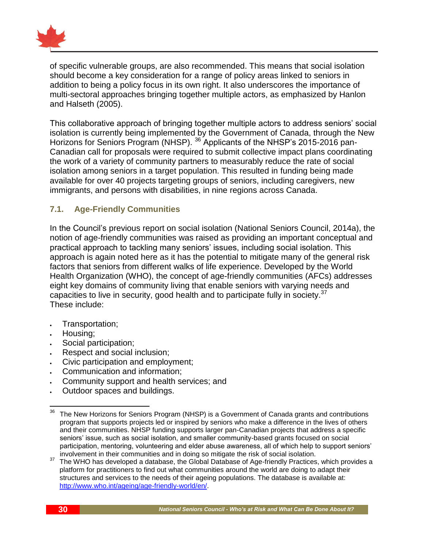

of specific vulnerable groups, are also recommended. This means that social isolation should become a key consideration for a range of policy areas linked to seniors in addition to being a policy focus in its own right. It also underscores the importance of multi-sectoral approaches bringing together multiple actors, as emphasized by Hanlon and Halseth (2005).

This collaborative approach of bringing together multiple actors to address seniors' social isolation is currently being implemented by the Government of Canada, through the New Horizons for Seniors Program (NHSP). <sup>36</sup> Applicants of the NHSP's 2015-2016 pan-Canadian call for proposals were required to submit collective impact plans coordinating the work of a variety of community partners to measurably reduce the rate of social isolation among seniors in a target population. This resulted in funding being made available for over 40 projects targeting groups of seniors, including caregivers, new immigrants, and persons with disabilities, in nine regions across Canada.

#### <span id="page-33-0"></span>**7.1. Age-Friendly Communities**

In the Council's previous report on social isolation (National Seniors Council, 2014a), the notion of age-friendly communities was raised as providing an important conceptual and practical approach to tackling many seniors' issues, including social isolation. This approach is again noted here as it has the potential to mitigate many of the general risk factors that seniors from different walks of life experience. Developed by the World Health Organization (WHO), the concept of age-friendly communities (AFCs) addresses eight key domains of community living that enable seniors with varying needs and capacities to live in security, good health and to participate fully in society.  $37$ These include:

- Transportation;
- Housing;
- Social participation;
- Respect and social inclusion;
- Civic participation and employment;
- Communication and information;
- Community support and health services; and
- Outdoor spaces and buildings.

<sup>36</sup> <sup>36</sup> The New Horizons for Seniors Program (NHSP) is a Government of Canada grants and contributions program that supports projects led or inspired by seniors who make a difference in the lives of others and their communities. NHSP funding supports larger pan-Canadian projects that address a specific seniors' issue, such as social isolation, and smaller community-based grants focused on social participation, mentoring, volunteering and elder abuse awareness, all of which help to support seniors' involvement in their communities and in doing so mitigate the risk of social isolation.

<sup>37</sup> The WHO has developed a database, the Global Database of Age-friendly Practices, which provides a platform for practitioners to find out what communities around the world are doing to adapt their structures and services to the needs of their ageing populations. The database is available at: [http://www.who.int/ageing/age-friendly-world/en/.](http://www.who.int/ageing/age-friendly-world/en/)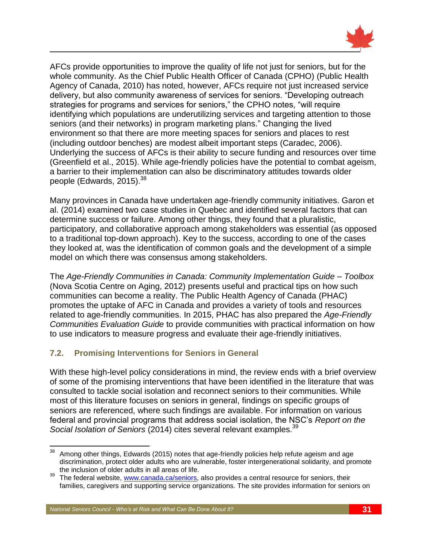

AFCs provide opportunities to improve the quality of life not just for seniors, but for the whole community. As the Chief Public Health Officer of Canada (CPHO) (Public Health Agency of Canada, 2010) has noted, however, AFCs require not just increased service delivery, but also community awareness of services for seniors. "Developing outreach strategies for programs and services for seniors," the CPHO notes, "will require identifying which populations are underutilizing services and targeting attention to those seniors (and their networks) in program marketing plans." Changing the lived environment so that there are more meeting spaces for seniors and places to rest (including outdoor benches) are modest albeit important steps (Caradec, 2006). Underlying the success of AFCs is their ability to secure funding and resources over time (Greenfield et al., 2015). While age-friendly policies have the potential to combat ageism, a barrier to their implementation can also be discriminatory attitudes towards older people (Edwards, 2015).<sup>38</sup>

Many provinces in Canada have undertaken age-friendly community initiatives. Garon et al. (2014) examined two case studies in Quebec and identified several factors that can determine success or failure. Among other things, they found that a pluralistic, participatory, and collaborative approach among stakeholders was essential (as opposed to a traditional top-down approach). Key to the success, according to one of the cases they looked at, was the identification of common goals and the development of a simple model on which there was consensus among stakeholders.

The *Age-Friendly Communities in Canada: Community Implementation Guide – Toolbox* (Nova Scotia Centre on Aging, 2012) presents useful and practical tips on how such communities can become a reality. The Public Health Agency of Canada (PHAC) promotes the uptake of AFC in Canada and provides a variety of tools and resources related to age-friendly communities. In 2015, PHAC has also prepared the *Age-Friendly Communities Evaluation Guide* to provide communities with practical information on how to use indicators to measure progress and evaluate their age-friendly initiatives.

#### <span id="page-34-0"></span>**7.2. Promising Interventions for Seniors in General**

With these high-level policy considerations in mind, the review ends with a brief overview of some of the promising interventions that have been identified in the literature that was consulted to tackle social isolation and reconnect seniors to their communities. While most of this literature focuses on seniors in general, findings on specific groups of seniors are referenced, where such findings are available. For information on various federal and provincial programs that address social isolation, the NSC's *Report on the*  Social Isolation of Seniors (2014) cites several relevant examples.<sup>39</sup>

 $\overline{a}$  $38$  Among other things, Edwards (2015) notes that age-friendly policies help refute ageism and age discrimination, protect older adults who are vulnerable, foster intergenerational solidarity, and promote the inclusion of older adults in all areas of life.

<sup>&</sup>lt;sup>39</sup> The federal website, [www.canada.ca/seniors,](http://www.canada.ca/seniors) also provides a central resource for seniors, their families, caregivers and supporting service organizations. The site provides information for seniors on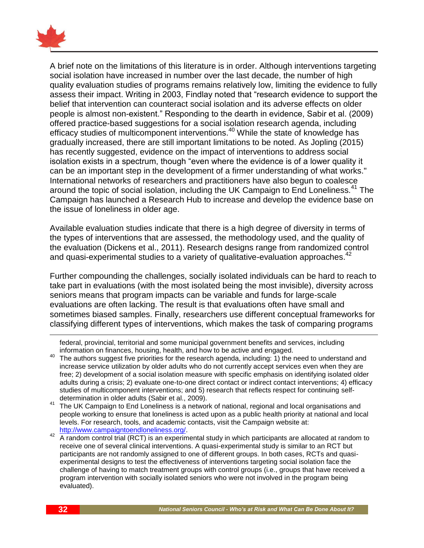

A brief note on the limitations of this literature is in order. Although interventions targeting social isolation have increased in number over the last decade, the number of high quality evaluation studies of programs remains relatively low, limiting the evidence to fully assess their impact. Writing in 2003, Findlay noted that "research evidence to support the belief that intervention can counteract social isolation and its adverse effects on older people is almost non-existent." Responding to the dearth in evidence, Sabir et al. (2009) offered practice-based suggestions for a social isolation research agenda, including efficacy studies of multicomponent interventions.<sup>40</sup> While the state of knowledge has gradually increased, there are still important limitations to be noted. As Jopling (2015) has recently suggested, evidence on the impact of interventions to address social isolation exists in a spectrum, though "even where the evidence is of a lower quality it can be an important step in the development of a firmer understanding of what works." International networks of researchers and practitioners have also begun to coalesce around the topic of social isolation, including the UK Campaign to End Loneliness.<sup>41</sup> The Campaign has launched a Research Hub to increase and develop the evidence base on the issue of loneliness in older age.

Available evaluation studies indicate that there is a high degree of diversity in terms of the types of interventions that are assessed, the methodology used, and the quality of the evaluation (Dickens et al., 2011). Research designs range from randomized control and quasi-experimental studies to a variety of qualitative-evaluation approaches.<sup>42</sup>

Further compounding the challenges, socially isolated individuals can be hard to reach to take part in evaluations (with the most isolated being the most invisible), diversity across seniors means that program impacts can be variable and funds for large-scale evaluations are often lacking. The result is that evaluations often have small and sometimes biased samples. Finally, researchers use different conceptual frameworks for classifying different types of interventions, which makes the task of comparing programs

 $\overline{\phantom{a}}$ 

federal, provincial, territorial and some municipal government benefits and services, including information on finances, housing, health, and how to be active and engaged.

<sup>&</sup>lt;sup>40</sup> The authors suggest five priorities for the research agenda, including: 1) the need to understand and increase service utilization by older adults who do not currently accept services even when they are free; 2) development of a social isolation measure with specific emphasis on identifying isolated older adults during a crisis; 2) evaluate one-to-one direct contact or indirect contact interventions; 4) efficacy studies of multicomponent interventions; and 5) research that reflects respect for continuing selfdetermination in older adults (Sabir et al., 2009).

<sup>41</sup> The UK Campaign to End Loneliness is a network of national, regional and local organisations and people working to ensure that loneliness is acted upon as a public health priority at national and local levels. For research, tools, and academic contacts, visit the Campaign website at: [http://www.campaigntoendloneliness.org/.](http://www.campaigntoendloneliness.org/)

<sup>42</sup> A random control trial (RCT) is an experimental study in which participants are allocated at random to receive one of several clinical interventions. A quasi-experimental study is similar to an RCT but participants are not randomly assigned to one of different groups. In both cases, RCTs and quasiexperimental designs to test the effectiveness of interventions targeting social isolation face the challenge of having to match treatment groups with control groups (i.e., groups that have received a program intervention with socially isolated seniors who were not involved in the program being evaluated).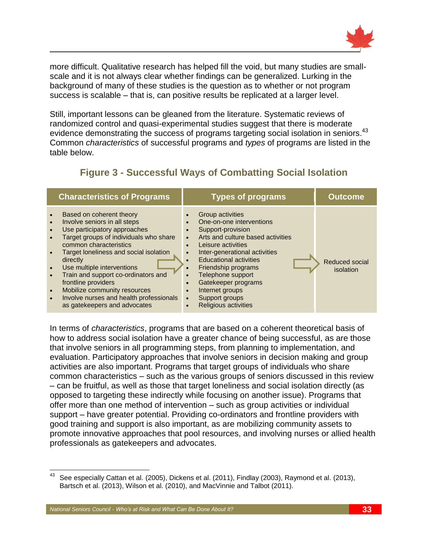

more difficult. Qualitative research has helped fill the void, but many studies are smallscale and it is not always clear whether findings can be generalized. Lurking in the background of many of these studies is the question as to whether or not program success is scalable – that is, can positive results be replicated at a larger level.

Still, important lessons can be gleaned from the literature. Systematic reviews of randomized control and quasi-experimental studies suggest that there is moderate evidence demonstrating the success of programs targeting social isolation in seniors.<sup>43</sup> Common *characteristics* of successful programs and *types* of programs are listed in the table below.

| <b>Characteristics of Programs</b>                                                                                                                                                                                                                                                                                                                                                                                                                                                                             |                                                                                                                                | <b>Types of programs</b>                                                                                                                                                                                                                                                                               | <b>Outcome</b>              |
|----------------------------------------------------------------------------------------------------------------------------------------------------------------------------------------------------------------------------------------------------------------------------------------------------------------------------------------------------------------------------------------------------------------------------------------------------------------------------------------------------------------|--------------------------------------------------------------------------------------------------------------------------------|--------------------------------------------------------------------------------------------------------------------------------------------------------------------------------------------------------------------------------------------------------------------------------------------------------|-----------------------------|
| Based on coherent theory<br>$\bullet$<br>Involve seniors in all steps<br>$\bullet$<br>Use participatory approaches<br>$\bullet$<br>Target groups of individuals who share<br>$\bullet$<br>common characteristics<br>Target loneliness and social isolation<br>$\bullet$<br>directly<br>Use multiple interventions<br>$\bullet$<br>Train and support co-ordinators and<br>$\bullet$<br>frontline providers<br>Mobilize community resources<br>$\bullet$<br>Involve nurses and health professionals<br>$\bullet$ | $\bullet$<br>$\bullet$<br>$\bullet$<br>$\bullet$<br>$\bullet$<br>$\bullet$<br>$\bullet$<br>$\bullet$<br>$\bullet$<br>$\bullet$ | Group activities<br>One-on-one interventions<br>Support-provision<br>Arts and culture based activities<br>Leisure activities<br>Inter-generational activities<br><b>Educational activities</b><br>Friendship programs<br>Telephone support<br>Gatekeeper programs<br>Internet groups<br>Support groups | Reduced social<br>isolation |

Religious activities

# **Figure 3 - Successful Ways of Combatting Social Isolation**

In terms of *characteristics*, programs that are based on a coherent theoretical basis of how to address social isolation have a greater chance of being successful, as are those that involve seniors in all programming steps, from planning to implementation, and evaluation. Participatory approaches that involve seniors in decision making and group activities are also important. Programs that target groups of individuals who share common characteristics – such as the various groups of seniors discussed in this review – can be fruitful, as well as those that target loneliness and social isolation directly (as opposed to targeting these indirectly while focusing on another issue). Programs that offer more than one method of intervention – such as group activities or individual support – have greater potential. Providing co-ordinators and frontline providers with good training and support is also important, as are mobilizing community assets to promote innovative approaches that pool resources, and involving nurses or allied health professionals as gatekeepers and advocates.

as gatekeepers and advocates

 $\overline{a}$ 

See especially Cattan et al. (2005), Dickens et al. (2011), Findlay (2003), Raymond et al. (2013), Bartsch et al. (2013), Wilson et al. (2010), and MacVinnie and Talbot (2011).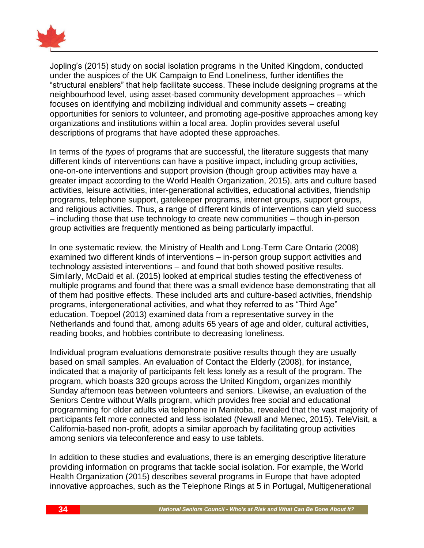

Jopling's (2015) study on social isolation programs in the United Kingdom, conducted under the auspices of the UK Campaign to End Loneliness, further identifies the "structural enablers" that help facilitate success. These include designing programs at the neighbourhood level, using asset-based community development approaches – which focuses on identifying and mobilizing individual and community assets – creating opportunities for seniors to volunteer, and promoting age-positive approaches among key organizations and institutions within a local area. Joplin provides several useful descriptions of programs that have adopted these approaches.

In terms of the *types* of programs that are successful, the literature suggests that many different kinds of interventions can have a positive impact, including group activities, one-on-one interventions and support provision (though group activities may have a greater impact according to the World Health Organization, 2015), arts and culture based activities, leisure activities, inter-generational activities, educational activities, friendship programs, telephone support, gatekeeper programs, internet groups, support groups, and religious activities. Thus, a range of different kinds of interventions can yield success – including those that use technology to create new communities – though in-person group activities are frequently mentioned as being particularly impactful.

In one systematic review, the Ministry of Health and Long-Term Care Ontario (2008) examined two different kinds of interventions – in-person group support activities and technology assisted interventions – and found that both showed positive results. Similarly, McDaid et al. (2015) looked at empirical studies testing the effectiveness of multiple programs and found that there was a small evidence base demonstrating that all of them had positive effects. These included arts and culture-based activities, friendship programs, intergenerational activities, and what they referred to as "Third Age" education. Toepoel (2013) examined data from a representative survey in the Netherlands and found that, among adults 65 years of age and older, cultural activities, reading books, and hobbies contribute to decreasing loneliness.

Individual program evaluations demonstrate positive results though they are usually based on small samples. An evaluation of Contact the Elderly (2008), for instance, indicated that a majority of participants felt less lonely as a result of the program. The program, which boasts 320 groups across the United Kingdom, organizes monthly Sunday afternoon teas between volunteers and seniors. Likewise, an evaluation of the Seniors Centre without Walls program, which provides free social and educational programming for older adults via telephone in Manitoba, revealed that the vast majority of participants felt more connected and less isolated (Newall and Menec, 2015). TeleVisit, a California-based non-profit, adopts a similar approach by facilitating group activities among seniors via teleconference and easy to use tablets.

In addition to these studies and evaluations, there is an emerging descriptive literature providing information on programs that tackle social isolation. For example, the World Health Organization (2015) describes several programs in Europe that have adopted innovative approaches, such as the Telephone Rings at 5 in Portugal, Multigenerational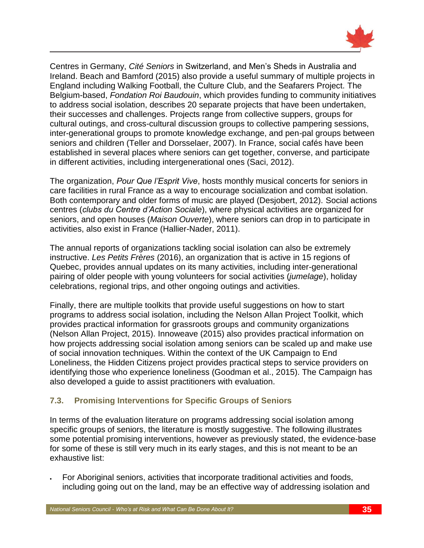

Centres in Germany, *Cité Seniors* in Switzerland, and Men's Sheds in Australia and Ireland. Beach and Bamford (2015) also provide a useful summary of multiple projects in England including Walking Football, the Culture Club, and the Seafarers Project. The Belgium-based, *Fondation Roi Baudouin*, which provides funding to community initiatives to address social isolation, describes 20 separate projects that have been undertaken, their successes and challenges. Projects range from collective suppers, groups for cultural outings, and cross-cultural discussion groups to collective pampering sessions, inter-generational groups to promote knowledge exchange, and pen-pal groups between seniors and children (Teller and Dorsselaer, 2007). In France, social cafés have been established in several places where seniors can get together, converse, and participate in different activities, including intergenerational ones (Saci, 2012).

The organization, *Pour Que l'Esprit Vive*, hosts monthly musical concerts for seniors in care facilities in rural France as a way to encourage socialization and combat isolation. Both contemporary and older forms of music are played (Desjobert, 2012). Social actions centres (*clubs du Centre d'Action Sociale*), where physical activities are organized for seniors, and open houses (*Maison Ouverte*), where seniors can drop in to participate in activities, also exist in France (Hallier-Nader, 2011).

The annual reports of organizations tackling social isolation can also be extremely instructive. *Les Petits Frères* (2016), an organization that is active in 15 regions of Quebec, provides annual updates on its many activities, including inter-generational pairing of older people with young volunteers for social activities (*jumelage*), holiday celebrations, regional trips, and other ongoing outings and activities.

Finally, there are multiple toolkits that provide useful suggestions on how to start programs to address social isolation, including the Nelson Allan Project Toolkit, which provides practical information for grassroots groups and community organizations (Nelson Allan Project, 2015). Innoweave (2015) also provides practical information on how projects addressing social isolation among seniors can be scaled up and make use of social innovation techniques. Within the context of the UK Campaign to End Loneliness, the Hidden Citizens project provides practical steps to service providers on identifying those who experience loneliness (Goodman et al., 2015). The Campaign has also developed a guide to assist practitioners with evaluation.

#### <span id="page-38-0"></span>**7.3. Promising Interventions for Specific Groups of Seniors**

In terms of the evaluation literature on programs addressing social isolation among specific groups of seniors, the literature is mostly suggestive. The following illustrates some potential promising interventions, however as previously stated, the evidence-base for some of these is still very much in its early stages, and this is not meant to be an exhaustive list:

 For Aboriginal seniors, activities that incorporate traditional activities and foods, including going out on the land, may be an effective way of addressing isolation and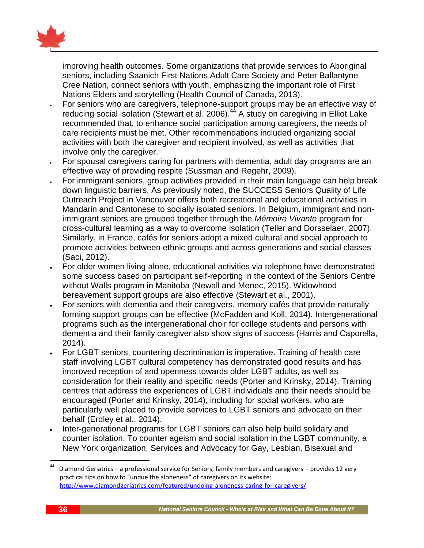

improving health outcomes. Some organizations that provide services to Aboriginal seniors, including Saanich First Nations Adult Care Society and Peter Ballantyne Cree Nation, connect seniors with youth, emphasizing the important role of First Nations Elders and storytelling (Health Council of Canada, 2013).

- For seniors who are caregivers, telephone-support groups may be an effective way of reducing social isolation (Stewart et al. 2006). $44$  A study on caregiving in Elliot Lake recommended that, to enhance social participation among caregivers, the needs of care recipients must be met. Other recommendations included organizing social activities with both the caregiver and recipient involved, as well as activities that involve only the caregiver.
- For spousal caregivers caring for partners with dementia, adult day programs are an effective way of providing respite (Sussman and Regehr, 2009).
- For immigrant seniors, group activities provided in their main language can help break down linguistic barriers. As previously noted, the SUCCESS Seniors Quality of Life Outreach Project in Vancouver offers both recreational and educational activities in Mandarin and Cantonese to socially isolated seniors. In Belgium, immigrant and nonimmigrant seniors are grouped together through the *Mémoire Vivante* program for cross-cultural learning as a way to overcome isolation (Teller and Dorsselaer, 2007). Similarly, in France, cafés for seniors adopt a mixed cultural and social approach to promote activities between ethnic groups and across generations and social classes (Saci, 2012).
- For older women living alone, educational activities via telephone have demonstrated some success based on participant self-reporting in the context of the Seniors Centre without Walls program in Manitoba (Newall and Menec, 2015). Widowhood bereavement support groups are also effective (Stewart et al., 2001).
- For seniors with dementia and their caregivers, memory cafés that provide naturally forming support groups can be effective (McFadden and Koll, 2014). Intergenerational programs such as the intergenerational choir for college students and persons with dementia and their family caregiver also show signs of success (Harris and Caporella, 2014).
- For LGBT seniors, countering discrimination is imperative. Training of health care staff involving LGBT cultural competency has demonstrated good results and has improved reception of and openness towards older LGBT adults, as well as consideration for their reality and specific needs (Porter and Krinsky, 2014). Training centres that address the experiences of LGBT individuals and their needs should be encouraged (Porter and Krinsky, 2014), including for social workers, who are particularly well placed to provide services to LGBT seniors and advocate on their behalf (Erdley et al., 2014).
- Inter-generational programs for LGBT seniors can also help build solidary and counter isolation. To counter ageism and social isolation in the LGBT community, a New York organization, Services and Advocacy for Gay, Lesbian, Bisexual and

 $\overline{\phantom{a}}$ 

<sup>44</sup> Diamond Geriatrics – a professional service for Seniors, family members and caregivers – provides 12 very practical tips on how to "undue the aloneness" of caregivers on its website: <http://www.diamondgeriatrics.com/featured/undoing-aloneness-caring-for-caregivers/>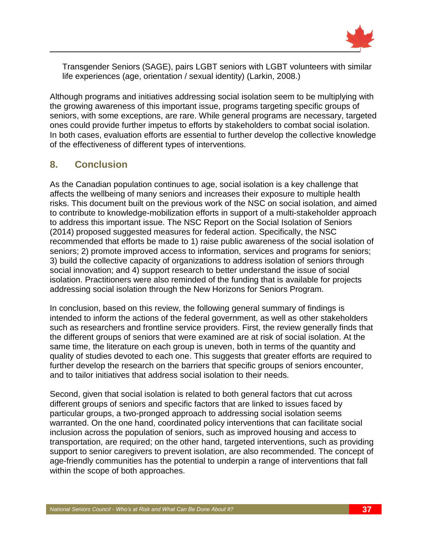

Transgender Seniors (SAGE), pairs LGBT seniors with LGBT volunteers with similar life experiences (age, orientation / sexual identity) (Larkin, 2008.)

Although programs and initiatives addressing social isolation seem to be multiplying with the growing awareness of this important issue, programs targeting specific groups of seniors, with some exceptions, are rare. While general programs are necessary, targeted ones could provide further impetus to efforts by stakeholders to combat social isolation. In both cases, evaluation efforts are essential to further develop the collective knowledge of the effectiveness of different types of interventions.

## <span id="page-40-0"></span>**8. Conclusion**

As the Canadian population continues to age, social isolation is a key challenge that affects the wellbeing of many seniors and increases their exposure to multiple health risks. This document built on the previous work of the NSC on social isolation, and aimed to contribute to knowledge-mobilization efforts in support of a multi-stakeholder approach to address this important issue. The NSC Report on the Social Isolation of Seniors (2014) proposed suggested measures for federal action. Specifically, the NSC recommended that efforts be made to 1) raise public awareness of the social isolation of seniors; 2) promote improved access to information, services and programs for seniors; 3) build the collective capacity of organizations to address isolation of seniors through social innovation; and 4) support research to better understand the issue of social isolation. Practitioners were also reminded of the funding that is available for projects addressing social isolation through the New Horizons for Seniors Program.

In conclusion, based on this review, the following general summary of findings is intended to inform the actions of the federal government, as well as other stakeholders such as researchers and frontline service providers. First, the review generally finds that the different groups of seniors that were examined are at risk of social isolation. At the same time, the literature on each group is uneven, both in terms of the quantity and quality of studies devoted to each one. This suggests that greater efforts are required to further develop the research on the barriers that specific groups of seniors encounter, and to tailor initiatives that address social isolation to their needs.

Second, given that social isolation is related to both general factors that cut across different groups of seniors and specific factors that are linked to issues faced by particular groups, a two-pronged approach to addressing social isolation seems warranted. On the one hand, coordinated policy interventions that can facilitate social inclusion across the population of seniors, such as improved housing and access to transportation, are required; on the other hand, targeted interventions, such as providing support to senior caregivers to prevent isolation, are also recommended. The concept of age-friendly communities has the potential to underpin a range of interventions that fall within the scope of both approaches.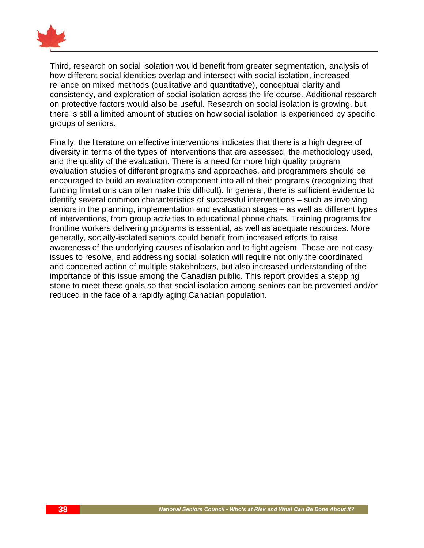

Third, research on social isolation would benefit from greater segmentation, analysis of how different social identities overlap and intersect with social isolation, increased reliance on mixed methods (qualitative and quantitative), conceptual clarity and consistency, and exploration of social isolation across the life course. Additional research on protective factors would also be useful. Research on social isolation is growing, but there is still a limited amount of studies on how social isolation is experienced by specific groups of seniors.

Finally, the literature on effective interventions indicates that there is a high degree of diversity in terms of the types of interventions that are assessed, the methodology used, and the quality of the evaluation. There is a need for more high quality program evaluation studies of different programs and approaches, and programmers should be encouraged to build an evaluation component into all of their programs (recognizing that funding limitations can often make this difficult). In general, there is sufficient evidence to identify several common characteristics of successful interventions – such as involving seniors in the planning, implementation and evaluation stages – as well as different types of interventions, from group activities to educational phone chats. Training programs for frontline workers delivering programs is essential, as well as adequate resources. More generally, socially-isolated seniors could benefit from increased efforts to raise awareness of the underlying causes of isolation and to fight ageism. These are not easy issues to resolve, and addressing social isolation will require not only the coordinated and concerted action of multiple stakeholders, but also increased understanding of the importance of this issue among the Canadian public. This report provides a stepping stone to meet these goals so that social isolation among seniors can be prevented and/or reduced in the face of a rapidly aging Canadian population.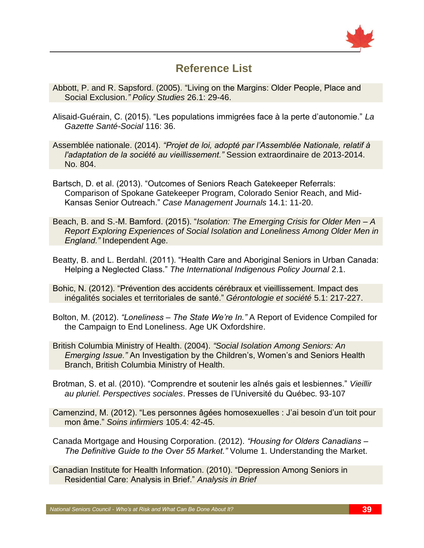

# **Reference List**

- <span id="page-42-0"></span>Abbott, P. and R. Sapsford. (2005). "Living on the Margins: Older People, Place and Social Exclusion*." Policy Studies* 26.1: 29-46.
- Alisaid-Guérain, C. (2015). "Les populations immigrées face à la perte d'autonomie." *La Gazette Santé-Social* 116: 36.

Assemblée nationale. (2014). *"Projet de loi, adopté par l'Assemblée Nationale, relatif à l'adaptation de la société au vieillissement."* Session extraordinaire de 2013-2014. No. 804.

- Bartsch, D. et al. (2013). "Outcomes of Seniors Reach Gatekeeper Referrals: Comparison of Spokane Gatekeeper Program, Colorado Senior Reach, and Mid-Kansas Senior Outreach." *Case Management Journals* 14.1: 11-20.
- Beach, B. and S.-M. Bamford. (2015). "*Isolation: The Emerging Crisis for Older Men – A Report Exploring Experiences of Social Isolation and Loneliness Among Older Men in England."* Independent Age.
- Beatty, B. and L. Berdahl. (2011). "Health Care and Aboriginal Seniors in Urban Canada: Helping a Neglected Class." *The International Indigenous Policy Journal* 2.1.

Bohic, N. (2012). "Prévention des accidents cérébraux et vieillissement. Impact des inégalités sociales et territoriales de santé." *Gérontologie et société* 5.1: 217-227.

Bolton, M. (2012). *"Loneliness – The State We're In."* A Report of Evidence Compiled for the Campaign to End Loneliness. Age UK Oxfordshire.

- British Columbia Ministry of Health. (2004). *"Social Isolation Among Seniors: An Emerging Issue."* An Investigation by the Children's, Women's and Seniors Health Branch, British Columbia Ministry of Health.
- Brotman, S. et al. (2010). "Comprendre et soutenir les aînés gais et lesbiennes." *Vieillir au pluriel. Perspectives sociales*. Presses de l'Université du Québec. 93-107

Camenzind, M. (2012). "Les personnes âgées homosexuelles : J'ai besoin d'un toit pour mon âme." *Soins infirmiers* 105.4: 42-45.

Canada Mortgage and Housing Corporation. (2012). *"Housing for Olders Canadians – The Definitive Guide to the Over 55 Market."* Volume 1. Understanding the Market.

Canadian Institute for Health Information. (2010). "Depression Among Seniors in Residential Care: Analysis in Brief." *Analysis in Brief*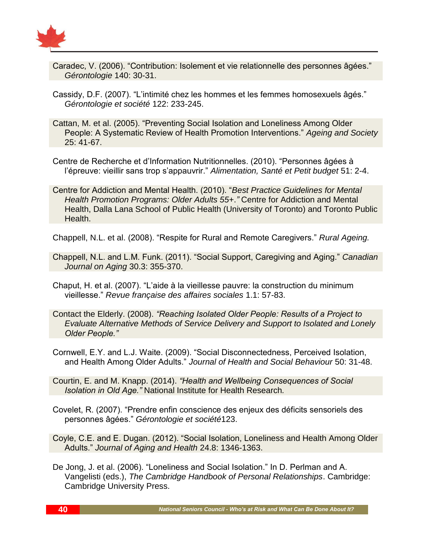

- Caradec, V. (2006). "Contribution: Isolement et vie relationnelle des personnes âgées." *Gérontologie* 140: 30-31.
- Cassidy, D.F. (2007). "L'intimité chez les hommes et les femmes homosexuels âgés." *Gérontologie et société* 122: 233-245.
- Cattan, M. et al. (2005). "Preventing Social Isolation and Loneliness Among Older People: A Systematic Review of Health Promotion Interventions." *Ageing and Society* 25: 41-67.
- Centre de Recherche et d'Information Nutritionnelles. (2010). "Personnes âgées à l'épreuve: vieillir sans trop s'appauvrir." *Alimentation, Santé et Petit budget* 51: 2-4.
- Centre for Addiction and Mental Health. (2010). "*Best Practice Guidelines for Mental Health Promotion Programs: Older Adults 55+*.*"* Centre for Addiction and Mental Health, Dalla Lana School of Public Health (University of Toronto) and Toronto Public Health.

Chappell, N.L. et al. (2008). "Respite for Rural and Remote Caregivers." *Rural Ageing.*

- Chappell, N.L. and L.M. Funk. (2011). "Social Support, Caregiving and Aging." *Canadian Journal on Aging* 30.3: 355-370.
- Chaput, H. et al. (2007). "L'aide à la vieillesse pauvre: la construction du minimum vieillesse." *Revue française des affaires sociales* 1.1: 57-83.
- Contact the Elderly. (2008). *"Reaching Isolated Older People: Results of a Project to Evaluate Alternative Methods of Service Delivery and Support to Isolated and Lonely Older People."*
- Cornwell, E.Y. and L.J. Waite. (2009). "Social Disconnectedness, Perceived Isolation, and Health Among Older Adults." *Journal of Health and Social Behaviour* 50: 31-48.
- Courtin, E. and M. Knapp. (2014). *"Health and Wellbeing Consequences of Social Isolation in Old Age."* National Institute for Health Research*.*
- Covelet, R. (2007). "Prendre enfin conscience des enjeux des déficits sensoriels des personnes âgées." *Gérontologie et société*123.
- Coyle, C.E. and E. Dugan. (2012). "Social Isolation, Loneliness and Health Among Older Adults." *Journal of Aging and Health* 24.8: 1346-1363.
- De Jong, J. et al. (2006). "Loneliness and Social Isolation." In D. Perlman and A. Vangelisti (eds.), *The Cambridge Handbook of Personal Relationships*. Cambridge: Cambridge University Press.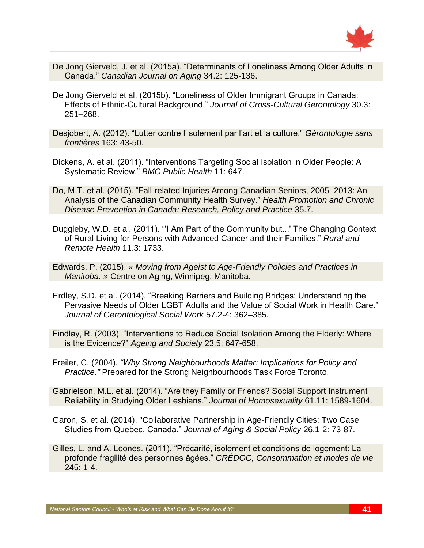

- De Jong Gierveld, J. et al. (2015a). "Determinants of Loneliness Among Older Adults in Canada." *Canadian Journal on Aging* 34.2: 125-136.
- De Jong Gierveld et al. (2015b). "Loneliness of Older Immigrant Groups in Canada: Effects of Ethnic-Cultural Background." *Journal of Cross-Cultural Gerontology* 30.3: 251–268.
- Desjobert, A. (2012). "Lutter contre l'isolement par l'art et la culture." *Gérontologie sans frontières* 163: 43-50.
- Dickens, A. et al. (2011). "Interventions Targeting Social Isolation in Older People: A Systematic Review." *BMC Public Health* 11: 647.
- Do, M.T. et al. (2015). "Fall-related Injuries Among Canadian Seniors, 2005–2013: An Analysis of the Canadian Community Health Survey." *Health Promotion and Chronic Disease Prevention in Canada: Research, Policy and Practice* 35.7.
- Duggleby, W.D. et al. (2011). "'I Am Part of the Community but...' The Changing Context of Rural Living for Persons with Advanced Cancer and their Families." *Rural and Remote Health* 11.3: 1733.
- Edwards, P. (2015). *« Moving from Ageist to Age-Friendly Policies and Practices in Manitoba. »* Centre on Aging, Winnipeg, Manitoba.
- Erdley, S.D. et al. (2014). "Breaking Barriers and Building Bridges: Understanding the Pervasive Needs of Older LGBT Adults and the Value of Social Work in Health Care." *Journal of Gerontological Social Work* 57.2-4: 362–385.
- Findlay, R. (2003). "Interventions to Reduce Social Isolation Among the Elderly: Where is the Evidence?" *Ageing and Society* 23.5: 647-658.
- Freiler, C. (2004). *"Why Strong Neighbourhoods Matter: Implications for Policy and Practice*.*"* Prepared for the Strong Neighbourhoods Task Force Toronto.
- Gabrielson, M.L. et al. (2014). "Are they Family or Friends? Social Support Instrument Reliability in Studying Older Lesbians." *Journal of Homosexuality* 61.11: 1589-1604.
- Garon, S. et al. (2014). "Collaborative Partnership in Age-Friendly Cities: Two Case Studies from Quebec, Canada." *Journal of Aging & Social Policy* 26.1-2: 73-87.
- Gilles, L. and A. Loones. (2011). "Précarité, isolement et conditions de logement: La profonde fragilité des personnes âgées." *CRÉDOC, Consommation et modes de vie* 245: 1-4.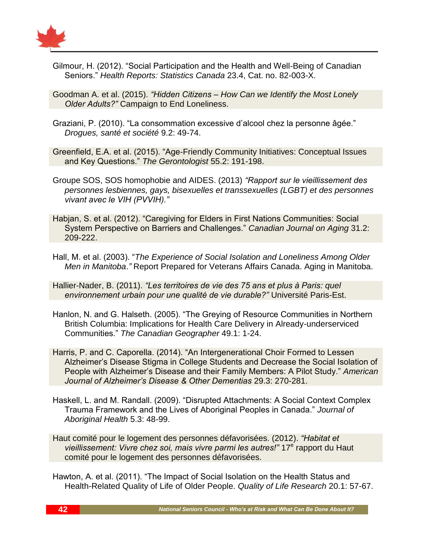

Gilmour, H. (2012). "Social Participation and the Health and Well-Being of Canadian Seniors." *Health Reports: Statistics Canada* 23.4, Cat. no. 82-003-X.

Goodman A. et al. (2015). *"Hidden Citizens – How Can we Identify the Most Lonely Older Adults?"* Campaign to End Loneliness.

Graziani, P. (2010). "La consommation excessive d'alcool chez la personne âgée." *Drogues, santé et société* 9.2: 49-74.

Greenfield, E.A. et al. (2015). "Age-Friendly Community Initiatives: Conceptual Issues and Key Questions." *The Gerontologist* 55.2: 191-198.

- Groupe SOS, SOS homophobie and AIDES. (2013) *"Rapport sur le vieillissement des personnes lesbiennes, gays, bisexuelles et transsexuelles (LGBT) et des personnes vivant avec le VIH (PVVIH)."*
- Habjan, S. et al. (2012). "Caregiving for Elders in First Nations Communities: Social System Perspective on Barriers and Challenges." *Canadian Journal on Aging* 31.2: 209-222.
- Hall, M. et al. (2003). "*The Experience of Social Isolation and Loneliness Among Older Men in Manitoba*.*"* Report Prepared for Veterans Affairs Canada. Aging in Manitoba.

Hallier-Nader, B. (2011). *"Les territoires de vie des 75 ans et plus à Paris: quel environnement urbain pour une qualité de vie durable?"* Université Paris-Est.

- Hanlon, N. and G. Halseth. (2005). "The Greying of Resource Communities in Northern British Columbia: Implications for Health Care Delivery in Already-underserviced Communities." *The Canadian Geographer* 49.1: 1-24.
- Harris, P. and C. Caporella. (2014). "An Intergenerational Choir Formed to Lessen Alzheimer's Disease Stigma in College Students and Decrease the Social Isolation of People with Alzheimer's Disease and their Family Members: A Pilot Study." *American Journal of Alzheimer's Disease & Other Dementias* 29.3: 270-281.
- Haskell, L. and M. Randall. (2009). "Disrupted Attachments: A Social Context Complex Trauma Framework and the Lives of Aboriginal Peoples in Canada." *Journal of Aboriginal Health* 5.3: 48-99.

Haut comité pour le logement des personnes défavorisées. (2012). *"Habitat et*  vieillissement: Vivre chez soi, mais vivre parmi les autres!" 17<sup>e</sup> rapport du Haut comité pour le logement des personnes défavorisées.

Hawton, A. et al. (2011). "The Impact of Social Isolation on the Health Status and Health-Related Quality of Life of Older People. *Quality of Life Research* 20.1: 57-67.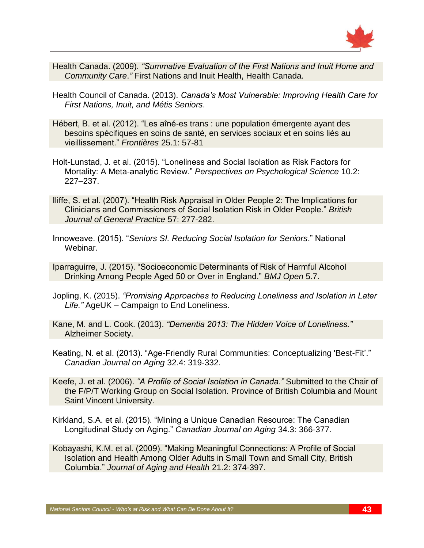

- Health Canada. (2009). *"Summative Evaluation of the First Nations and Inuit Home and Community Care*.*"* First Nations and Inuit Health, Health Canada.
- Health Council of Canada. (2013). *Canada's Most Vulnerable: Improving Health Care for First Nations, Inuit, and Métis Seniors*.
- Hébert, B. et al. (2012). "Les aîné-es trans : une population émergente ayant des besoins spécifiques en soins de santé, en services sociaux et en soins liés au vieillissement." *Frontières* 25.1: 57-81
- Holt-Lunstad, J. et al. (2015). "Loneliness and Social Isolation as Risk Factors for Mortality: A Meta-analytic Review." *Perspectives on Psychological Science* 10.2: 227–237.
- Iliffe, S. et al. (2007). "Health Risk Appraisal in Older People 2: The Implications for Clinicians and Commissioners of Social Isolation Risk in Older People." *British Journal of General Practice* 57: 277-282.
- Innoweave. (2015). "*Seniors SI. Reducing Social Isolation for Seniors*." National Webinar.
- Iparraguirre, J. (2015). "Socioeconomic Determinants of Risk of Harmful Alcohol Drinking Among People Aged 50 or Over in England." *BMJ Open* 5.7.
- Jopling, K. (2015). *"Promising Approaches to Reducing Loneliness and Isolation in Later Life."* AgeUK – Campaign to End Loneliness.
- Kane, M. and L. Cook. (2013). *"Dementia 2013: The Hidden Voice of Loneliness."* Alzheimer Society.
- Keating, N. et al. (2013). "Age-Friendly Rural Communities: Conceptualizing 'Best-Fit'." *Canadian Journal on Aging* 32.4: 319-332.
- Keefe, J. et al. (2006). *"A Profile of Social Isolation in Canada."* Submitted to the Chair of the F/P/T Working Group on Social Isolation. Province of British Columbia and Mount Saint Vincent University.
- Kirkland, S.A. et al. (2015). "Mining a Unique Canadian Resource: The Canadian Longitudinal Study on Aging." *Canadian Journal on Aging* 34.3: 366-377.
- Kobayashi, K.M. et al. (2009). "Making Meaningful Connections: A Profile of Social Isolation and Health Among Older Adults in Small Town and Small City, British Columbia." *Journal of Aging and Health* 21.2: 374-397.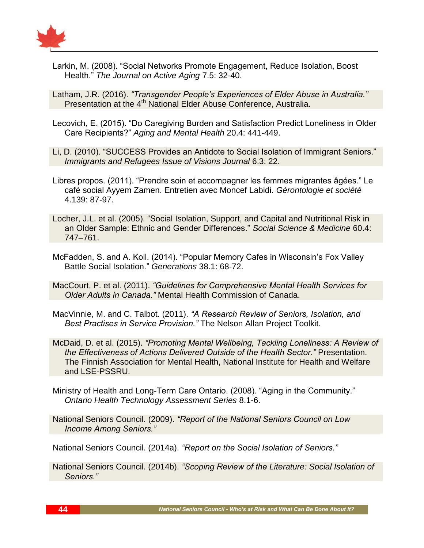

Larkin, M. (2008). "Social Networks Promote Engagement, Reduce Isolation, Boost Health." *The Journal on Active Aging* 7.5: 32-40.

Latham, J.R. (2016). *"Transgender People's Experiences of Elder Abuse in Australia."* Presentation at the 4<sup>th</sup> National Elder Abuse Conference, Australia.

- Lecovich, E. (2015). "Do Caregiving Burden and Satisfaction Predict Loneliness in Older Care Recipients?" *Aging and Mental Health* 20.4: 441-449.
- Li, D. (2010). "SUCCESS Provides an Antidote to Social Isolation of Immigrant Seniors." *Immigrants and Refugees Issue of Visions Journal* 6.3: 22.
- Libres propos. (2011). "Prendre soin et accompagner les femmes migrantes âgées." Le café social Ayyem Zamen. Entretien avec Moncef Labidi. *Gérontologie et société* 4.139: 87-97.
- Locher, J.L. et al. (2005). "Social Isolation, Support, and Capital and Nutritional Risk in an Older Sample: Ethnic and Gender Differences." *Social Science & Medicine* 60.4: 747–761.
- McFadden, S. and A. Koll. (2014). "Popular Memory Cafes in Wisconsin's Fox Valley Battle Social Isolation." *Generations* 38.1: 68-72.
- MacCourt, P. et al. (2011). *"Guidelines for Comprehensive Mental Health Services for Older Adults in Canada."* Mental Health Commission of Canada.
- MacVinnie, M. and C. Talbot. (2011). *"A Research Review of Seniors, Isolation, and Best Practises in Service Provision."* The Nelson Allan Project Toolkit.
- McDaid, D. et al. (2015). *"Promoting Mental Wellbeing, Tackling Loneliness: A Review of the Effectiveness of Actions Delivered Outside of the Health Sector."* Presentation. The Finnish Association for Mental Health, National Institute for Health and Welfare and LSE-PSSRU.
- Ministry of Health and Long-Term Care Ontario. (2008). "Aging in the Community." *Ontario Health Technology Assessment Series* 8.1-6.
- National Seniors Council. (2009). *"Report of the National Seniors Council on Low Income Among Seniors."*

National Seniors Council. (2014a). *"Report on the Social Isolation of Seniors."*

National Seniors Council. (2014b). *"Scoping Review of the Literature: Social Isolation of Seniors."*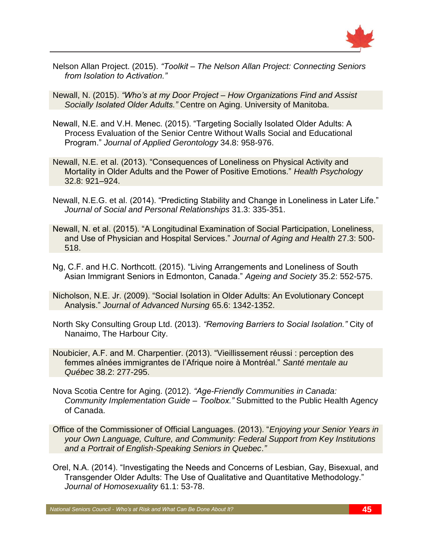

Nelson Allan Project. (2015). *"Toolkit – The Nelson Allan Project: Connecting Seniors from Isolation to Activation."*

Newall, N. (2015). *"Who's at my Door Project – How Organizations Find and Assist Socially Isolated Older Adults."* Centre on Aging. University of Manitoba.

- Newall, N.E. and V.H. Menec. (2015). "Targeting Socially Isolated Older Adults: A Process Evaluation of the Senior Centre Without Walls Social and Educational Program." *Journal of Applied Gerontology* 34.8: 958-976.
- Newall, N.E. et al. (2013). "Consequences of Loneliness on Physical Activity and Mortality in Older Adults and the Power of Positive Emotions." *Health Psychology* 32.8: 921–924.
- Newall, N.E.G. et al. (2014). "Predicting Stability and Change in Loneliness in Later Life." *Journal of Social and Personal Relationships* 31.3: 335-351.
- Newall, N. et al. (2015). "A Longitudinal Examination of Social Participation, Loneliness, and Use of Physician and Hospital Services." *Journal of Aging and Health* 27.3: 500- 518.
- Ng, C.F. and H.C. Northcott. (2015). "Living Arrangements and Loneliness of South Asian Immigrant Seniors in Edmonton, Canada." *Ageing and Society* 35.2: 552-575.
- Nicholson, N.E. Jr. (2009). "Social Isolation in Older Adults: An Evolutionary Concept Analysis." *Journal of Advanced Nursing* 65.6: 1342-1352.
- North Sky Consulting Group Ltd. (2013). *"Removing Barriers to Social Isolation."* City of Nanaimo, The Harbour City.
- Noubicier, A.F. and M. Charpentier. (2013). "Vieillissement réussi : perception des femmes aînées immigrantes de l'Afrique noire à Montréal." *Santé mentale au Québec* 38.2: 277-295.
- Nova Scotia Centre for Aging. (2012). *"Age-Friendly Communities in Canada: Community Implementation Guide – Toolbox."* Submitted to the Public Health Agency of Canada.
- Office of the Commissioner of Official Languages. (2013). "*Enjoying your Senior Years in your Own Language, Culture, and Community: Federal Support from Key Institutions and a Portrait of English-Speaking Seniors in Quebec*.*"*
- Orel, N.A. (2014). "Investigating the Needs and Concerns of Lesbian, Gay, Bisexual, and Transgender Older Adults: The Use of Qualitative and Quantitative Methodology." *Journal of Homosexuality* 61.1: 53-78.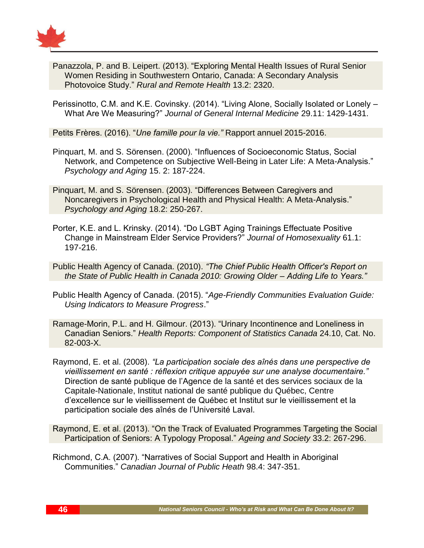

Panazzola, P. and B. Leipert. (2013). "Exploring Mental Health Issues of Rural Senior Women Residing in Southwestern Ontario, Canada: A Secondary Analysis Photovoice Study." *Rural and Remote Health* 13.2: 2320.

Perissinotto, C.M. and K.E. Covinsky. (2014). "Living Alone, Socially Isolated or Lonely – What Are We Measuring?" *Journal of General Internal Medicine* 29.11: 1429-1431.

Petits Frères. (2016). "*Une famille pour la vie."* Rapport annuel 2015-2016.

- Pinquart, M. and S. Sörensen. (2000). "Influences of Socioeconomic Status, Social Network, and Competence on Subjective Well-Being in Later Life: A Meta-Analysis." *Psychology and Aging* 15. 2: 187-224.
- Pinquart, M. and S. Sörensen. (2003). "Differences Between Caregivers and Noncaregivers in Psychological Health and Physical Health: A Meta-Analysis." *Psychology and Aging* 18.2: 250-267.

Porter, K.E. and L. Krinsky. (2014). "Do LGBT Aging Trainings Effectuate Positive Change in Mainstream Elder Service Providers?" *Journal of Homosexuality* 61.1: 197-216.

Public Health Agency of Canada. (2010). *"The Chief Public Health Officer's Report on the State of Public Health in Canada 2010: Growing Older – Adding Life to Years."*

Public Health Agency of Canada. (2015). "*Age-Friendly Communities Evaluation Guide: Using Indicators to Measure Progress*."

Ramage-Morin, P.L. and H. Gilmour. (2013). "Urinary Incontinence and Loneliness in Canadian Seniors." *Health Reports: Component of Statistics Canada* 24.10, Cat. No. 82-003-X.

Raymond, E. et al. (2008). *"La participation sociale des aînés dans une perspective de vieillissement en santé : réflexion critique appuyée sur une analyse documentaire."* Direction de santé publique de l'Agence de la santé et des services sociaux de la Capitale-Nationale, Institut national de santé publique du Québec, Centre d'excellence sur le vieillissement de Québec et Institut sur le vieillissement et la participation sociale des aînés de l'Université Laval.

Raymond, E. et al. (2013). "On the Track of Evaluated Programmes Targeting the Social Participation of Seniors: A Typology Proposal." *Ageing and Society* 33.2: 267-296.

Richmond, C.A. (2007). "Narratives of Social Support and Health in Aboriginal Communities." *Canadian Journal of Public Heath* 98.4: 347-351.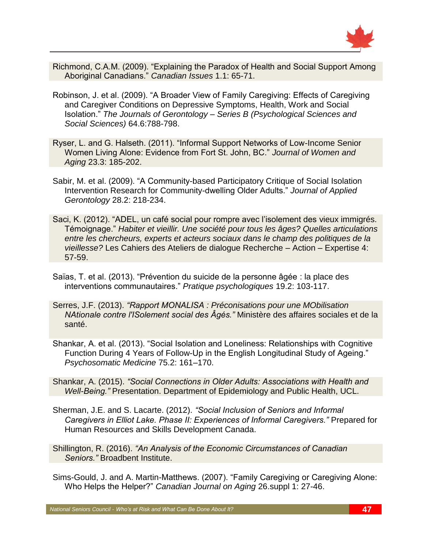

- Richmond, C.A.M. (2009). "Explaining the Paradox of Health and Social Support Among Aboriginal Canadians." *Canadian Issues* 1.1: 65-71.
- Robinson, J. et al. (2009). "A Broader View of Family Caregiving: Effects of Caregiving and Caregiver Conditions on Depressive Symptoms, Health, Work and Social Isolation." *The Journals of Gerontology – Series B (Psychological Sciences and Social Sciences)* 64.6:788-798.
- Ryser, L. and G. Halseth. (2011). "Informal Support Networks of Low-Income Senior Women Living Alone: Evidence from Fort St. John, BC." *Journal of Women and Aging* 23.3: 185-202.
- Sabir, M. et al. (2009). "A Community-based Participatory Critique of Social Isolation Intervention Research for Community-dwelling Older Adults." *Journal of Applied Gerontology* 28.2: 218-234.
- Saci, K. (2012). "ADEL, un café social pour rompre avec l'isolement des vieux immigrés. Témoignage." *Habiter et vieillir. Une société pour tous les âges? Quelles articulations entre les chercheurs, experts et acteurs sociaux dans le champ des politiques de la vieillesse?* Les Cahiers des Ateliers de dialogue Recherche – Action – Expertise 4: 57-59.
- Saïas, T. et al. (2013). "Prévention du suicide de la personne âgée : la place des interventions communautaires." *Pratique psychologiques* 19.2: 103-117.
- Serres, J.F. (2013). *"Rapport MONALISA : Préconisations pour une MObilisation NAtionale contre l'ISolement social des Âgés."* Ministère des affaires sociales et de la santé.
- Shankar, A. et al. (2013). "Social Isolation and Loneliness: Relationships with Cognitive Function During 4 Years of Follow-Up in the English Longitudinal Study of Ageing." *Psychosomatic Medicine* 75.2: 161–170.
- Shankar, A. (2015). *"Social Connections in Older Adults: Associations with Health and Well-Being."* Presentation. Department of Epidemiology and Public Health, UCL.
- Sherman, J.E. and S. Lacarte. (2012). *"Social Inclusion of Seniors and Informal Caregivers in Elliot Lake. Phase II: Experiences of Informal Caregivers."* Prepared for Human Resources and Skills Development Canada.
- Shillington, R. (2016). *"An Analysis of the Economic Circumstances of Canadian Seniors."* Broadbent Institute.
- Sims-Gould, J. and A. Martin-Matthews. (2007). "Family Caregiving or Caregiving Alone: Who Helps the Helper?" *Canadian Journal on Aging* 26.suppl 1: 27-46.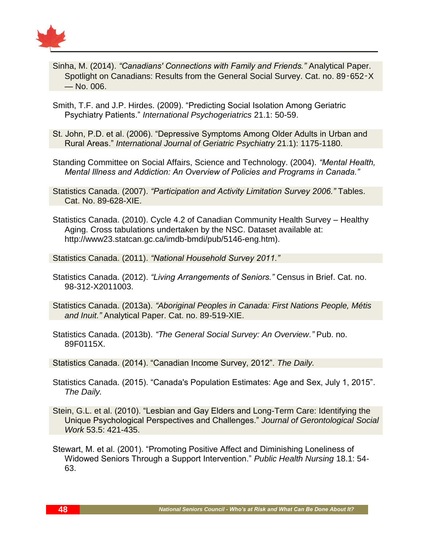

- Sinha, M. (2014). *"Canadians' Connections with Family and Friends."* Analytical Paper. Spotlight on Canadians: Results from the General Social Survey. Cat. no. 89‑652‑X — No. 006.
- Smith, T.F. and J.P. Hirdes. (2009). "Predicting Social Isolation Among Geriatric Psychiatry Patients." *International Psychogeriatrics* 21.1: 50-59.
- St. John, P.D. et al. (2006). "Depressive Symptoms Among Older Adults in Urban and Rural Areas." *International Journal of Geriatric Psychiatry* 21.1): 1175-1180.
- Standing Committee on Social Affairs, Science and Technology. (2004). *"Mental Health, Mental Illness and Addiction: An Overview of Policies and Programs in Canada."*
- Statistics Canada. (2007). *"Participation and Activity Limitation Survey 2006."* Tables. Cat. No. 89-628-XIE.
- Statistics Canada. (2010). Cycle 4.2 of Canadian Community Health Survey Healthy Aging. Cross tabulations undertaken by the NSC. Dataset available at: http://www23.statcan.gc.ca/imdb-bmdi/pub/5146-eng.htm).

Statistics Canada. (2011). *"National Household Survey 2011."*

Statistics Canada. (2012). *"Living Arrangements of Seniors."* Census in Brief. Cat. no. 98-312-X2011003.

Statistics Canada. (2013a). *"Aboriginal Peoples in Canada: First Nations People, Métis and Inuit."* Analytical Paper. Cat. no. 89-519-XIE.

Statistics Canada. (2013b). *"The General Social Survey: An Overview."* Pub. no. 89F0115X.

Statistics Canada. (2014). "Canadian Income Survey, 2012". *The Daily.*

- Statistics Canada. (2015). "Canada's Population Estimates: Age and Sex, July 1, 2015". *The Daily.*
- Stein, G.L. et al. (2010). "Lesbian and Gay Elders and Long-Term Care: Identifying the Unique Psychological Perspectives and Challenges." *Journal of Gerontological Social Work* 53.5: 421-435.
- Stewart, M. et al. (2001). "Promoting Positive Affect and Diminishing Loneliness of Widowed Seniors Through a Support Intervention." *Public Health Nursing* 18.1: 54- 63.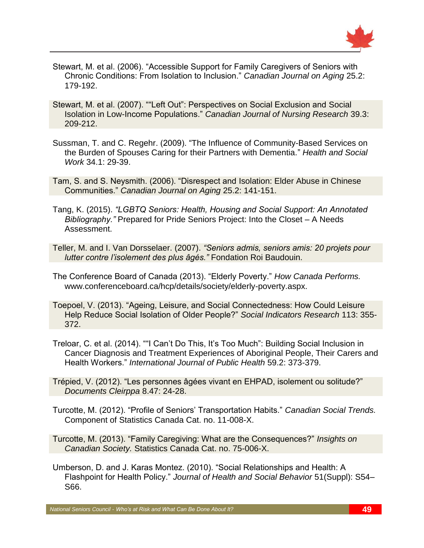

- Stewart, M. et al. (2006). "Accessible Support for Family Caregivers of Seniors with Chronic Conditions: From Isolation to Inclusion." *Canadian Journal on Aging* 25.2: 179-192.
- Stewart, M. et al. (2007). ""Left Out": Perspectives on Social Exclusion and Social Isolation in Low-Income Populations." *Canadian Journal of Nursing Research* 39.3: 209-212.
- Sussman, T. and C. [Regehr.](http://www.ncbi.nlm.nih.gov/pubmed/?term=Regehr%20C%5BAuthor%5D&cauthor=true&cauthor_uid=19281100) (2009). ["The Influence of Community-Based Services on](http://www.ncbi.nlm.nih.gov/pubmed/19281100)  [the Burden of Spouses Caring for their Partners with Dementia."](http://www.ncbi.nlm.nih.gov/pubmed/19281100) *Health and Social Work* 34.1: 29-39.
- Tam, S. and S. Neysmith. (2006). "Disrespect and Isolation: Elder Abuse in Chinese Communities." *Canadian Journal on Aging* 25.2: 141-151.
- Tang, K. (2015). *"LGBTQ Seniors: Health, Housing and Social Support: An Annotated Bibliography."* Prepared for Pride Seniors Project: Into the Closet – A Needs Assessment.
- Teller, M. and I. Van Dorsselaer. (2007). *"Seniors admis, seniors amis: 20 projets pour lutter contre l'isolement des plus âgés."* Fondation Roi Baudouin.
- The Conference Board of Canada (2013). "Elderly Poverty." *How Canada Performs.* www.conferenceboard.ca/hcp/details/society/elderly-poverty.aspx.
- Toepoel, V. (2013). "Ageing, Leisure, and Social Connectedness: How Could Leisure Help Reduce Social Isolation of Older People?" *Social Indicators Research* 113: 355- 372.
- Treloar, C. et al. (2014). ""I Can't Do This, It's Too Much": Building Social Inclusion in Cancer Diagnosis and Treatment Experiences of Aboriginal People, Their Carers and Health Workers." *International Journal of Public Health* 59.2: 373-379.
- Trépied, V. (2012). "Les personnes âgées vivant en EHPAD, isolement ou solitude?" *Documents Cleirppa* 8.47: 24-28.
- Turcotte, M. (2012). "Profile of Seniors' Transportation Habits." *Canadian Social Trends.*  Component of Statistics Canada Cat. no. 11-008-X.
- Turcotte, M. (2013). "Family Caregiving: What are the Consequences?" *Insights on Canadian Society.* Statistics Canada Cat. no. 75-006-X.
- Umberson, D. and J. Karas Montez. (2010). "Social Relationships and Health: A Flashpoint for Health Policy." *Journal of Health and Social Behavior* 51(Suppl): S54– S66.